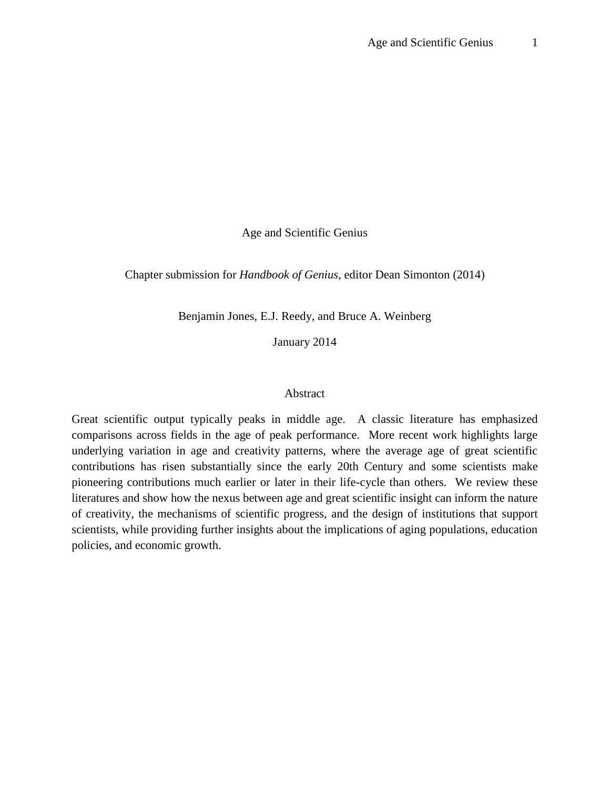Age and Scientific Genius

Chapter submission for *Handbook of Genius*, editor Dean Simonton (2014)

Benjamin Jones, E.J. Reedy, and Bruce A. Weinberg

January 2014

#### Abstract

Great scientific output typically peaks in middle age. A classic literature has emphasized comparisons across fields in the age of peak performance. More recent work highlights large underlying variation in age and creativity patterns, where the average age of great scientific contributions has risen substantially since the early 20th Century and some scientists make pioneering contributions much earlier or later in their life-cycle than others. We review these literatures and show how the nexus between age and great scientific insight can inform the nature of creativity, the mechanisms of scientific progress, and the design of institutions that support scientists, while providing further insights about the implications of aging populations, education policies, and economic growth.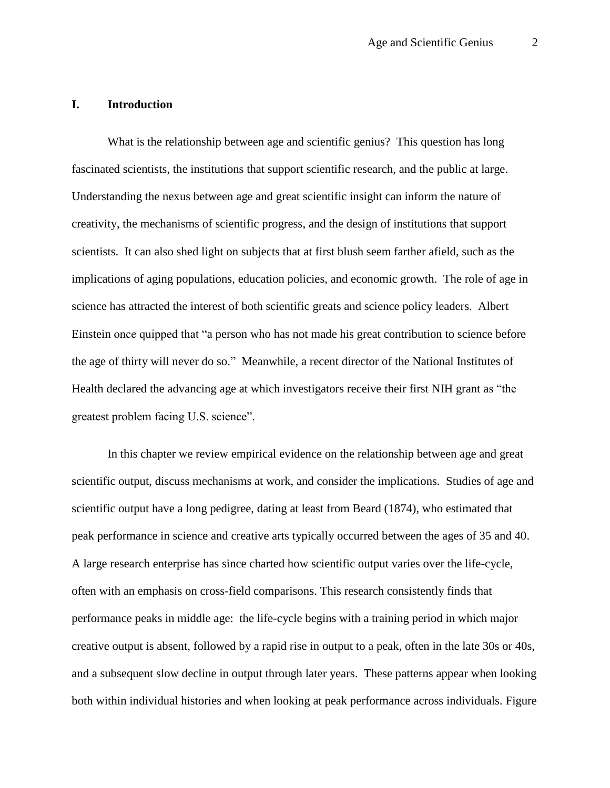What is the relationship between age and scientific genius? This question has long fascinated scientists, the institutions that support scientific research, and the public at large. Understanding the nexus between age and great scientific insight can inform the nature of creativity, the mechanisms of scientific progress, and the design of institutions that support scientists. It can also shed light on subjects that at first blush seem farther afield, such as the implications of aging populations, education policies, and economic growth. The role of age in science has attracted the interest of both scientific greats and science policy leaders. Albert Einstein once quipped that "a person who has not made his great contribution to science before the age of thirty will never do so." Meanwhile, a recent director of the National Institutes of Health declared the advancing age at which investigators receive their first NIH grant as "the greatest problem facing U.S. science".

In this chapter we review empirical evidence on the relationship between age and great scientific output, discuss mechanisms at work, and consider the implications. Studies of age and scientific output have a long pedigree, dating at least from Beard (1874), who estimated that peak performance in science and creative arts typically occurred between the ages of 35 and 40. A large research enterprise has since charted how scientific output varies over the life-cycle, often with an emphasis on cross-field comparisons. This research consistently finds that performance peaks in middle age: the life-cycle begins with a training period in which major creative output is absent, followed by a rapid rise in output to a peak, often in the late 30s or 40s, and a subsequent slow decline in output through later years. These patterns appear when looking both within individual histories and when looking at peak performance across individuals. Figure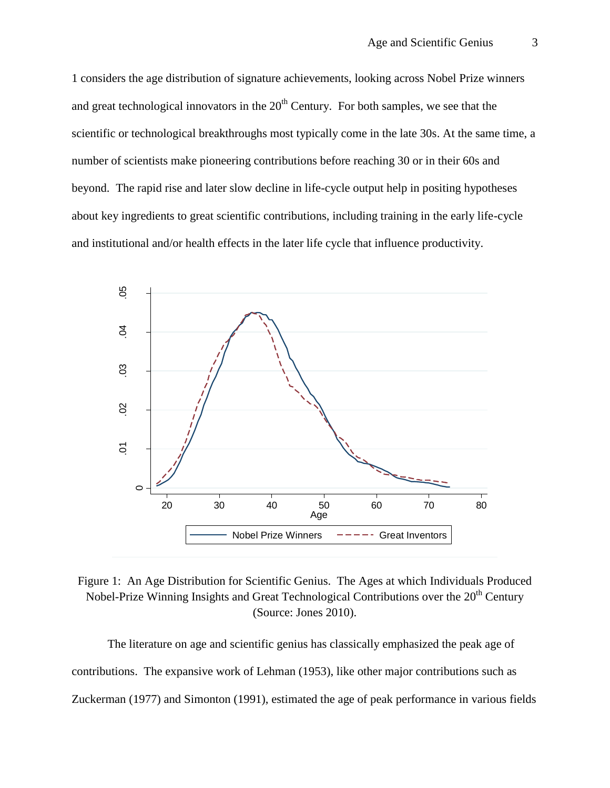1 considers the age distribution of signature achievements, looking across Nobel Prize winners and great technological innovators in the  $20<sup>th</sup>$  Century. For both samples, we see that the scientific or technological breakthroughs most typically come in the late 30s. At the same time, a number of scientists make pioneering contributions before reaching 30 or in their 60s and beyond. The rapid rise and later slow decline in life-cycle output help in positing hypotheses about key ingredients to great scientific contributions, including training in the early life-cycle and institutional and/or health effects in the later life cycle that influence productivity.



Figure 1: An Age Distribution for Scientific Genius. The Ages at which Individuals Produced Nobel-Prize Winning Insights and Great Technological Contributions over the  $20<sup>th</sup>$  Century (Source: Jones 2010).

The literature on age and scientific genius has classically emphasized the peak age of contributions. The expansive work of Lehman (1953), like other major contributions such as Zuckerman (1977) and Simonton (1991), estimated the age of peak performance in various fields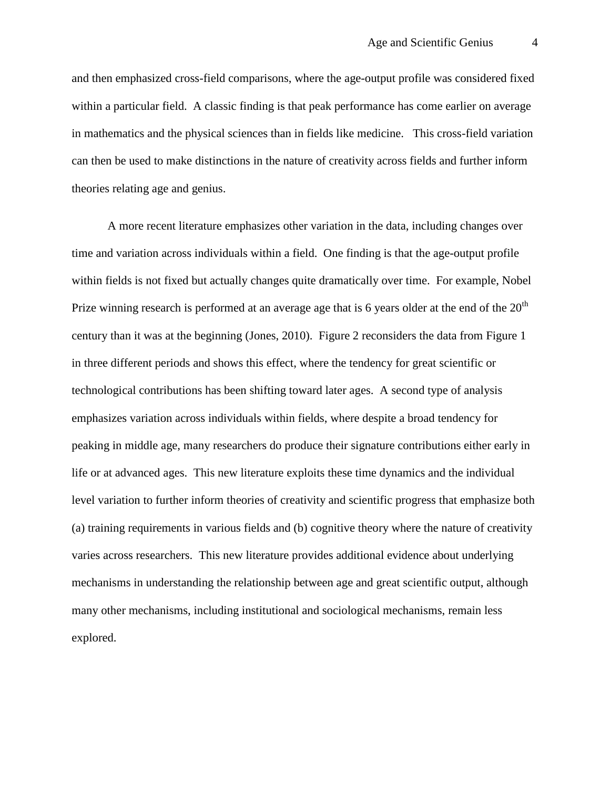and then emphasized cross-field comparisons, where the age-output profile was considered fixed within a particular field. A classic finding is that peak performance has come earlier on average in mathematics and the physical sciences than in fields like medicine. This cross-field variation can then be used to make distinctions in the nature of creativity across fields and further inform theories relating age and genius.

A more recent literature emphasizes other variation in the data, including changes over time and variation across individuals within a field. One finding is that the age-output profile within fields is not fixed but actually changes quite dramatically over time. For example, Nobel Prize winning research is performed at an average age that is 6 years older at the end of the  $20<sup>th</sup>$ century than it was at the beginning (Jones, 2010). Figure 2 reconsiders the data from Figure 1 in three different periods and shows this effect, where the tendency for great scientific or technological contributions has been shifting toward later ages. A second type of analysis emphasizes variation across individuals within fields, where despite a broad tendency for peaking in middle age, many researchers do produce their signature contributions either early in life or at advanced ages. This new literature exploits these time dynamics and the individual level variation to further inform theories of creativity and scientific progress that emphasize both (a) training requirements in various fields and (b) cognitive theory where the nature of creativity varies across researchers. This new literature provides additional evidence about underlying mechanisms in understanding the relationship between age and great scientific output, although many other mechanisms, including institutional and sociological mechanisms, remain less explored.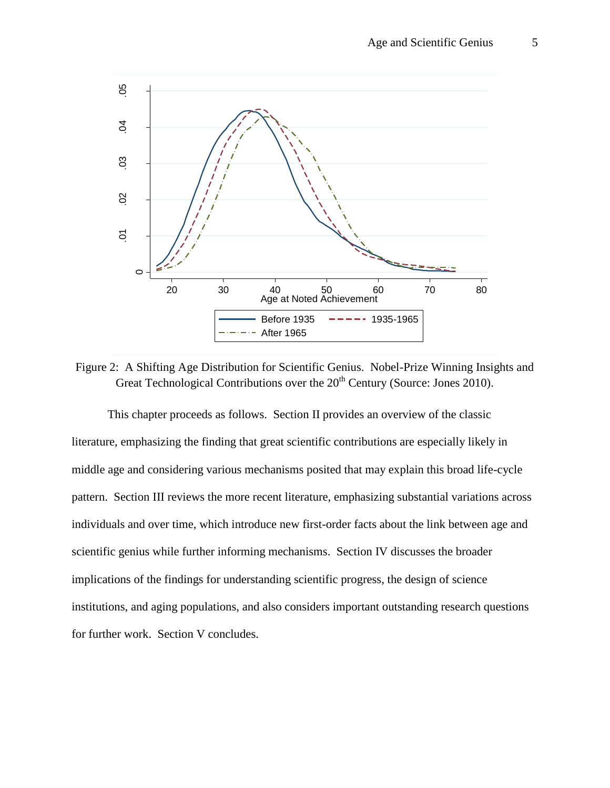

Figure 2: A Shifting Age Distribution for Scientific Genius. Nobel-Prize Winning Insights and Great Technological Contributions over the  $20<sup>th</sup>$  Century (Source: Jones 2010).

This chapter proceeds as follows. Section II provides an overview of the classic literature, emphasizing the finding that great scientific contributions are especially likely in middle age and considering various mechanisms posited that may explain this broad life-cycle pattern. Section III reviews the more recent literature, emphasizing substantial variations across individuals and over time, which introduce new first-order facts about the link between age and scientific genius while further informing mechanisms. Section IV discusses the broader implications of the findings for understanding scientific progress, the design of science institutions, and aging populations, and also considers important outstanding research questions for further work. Section V concludes.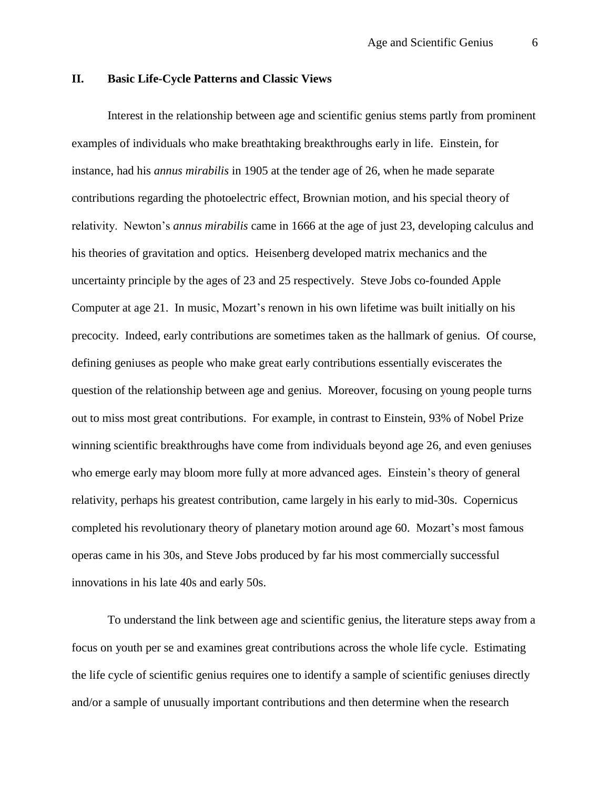#### **II. Basic Life-Cycle Patterns and Classic Views**

Interest in the relationship between age and scientific genius stems partly from prominent examples of individuals who make breathtaking breakthroughs early in life. Einstein, for instance, had his *annus mirabilis* in 1905 at the tender age of 26, when he made separate contributions regarding the photoelectric effect, Brownian motion, and his special theory of relativity. Newton's *annus mirabilis* came in 1666 at the age of just 23, developing calculus and his theories of gravitation and optics. Heisenberg developed matrix mechanics and the uncertainty principle by the ages of 23 and 25 respectively. Steve Jobs co-founded Apple Computer at age 21. In music, Mozart's renown in his own lifetime was built initially on his precocity. Indeed, early contributions are sometimes taken as the hallmark of genius. Of course, defining geniuses as people who make great early contributions essentially eviscerates the question of the relationship between age and genius. Moreover, focusing on young people turns out to miss most great contributions. For example, in contrast to Einstein, 93% of Nobel Prize winning scientific breakthroughs have come from individuals beyond age 26, and even geniuses who emerge early may bloom more fully at more advanced ages. Einstein's theory of general relativity, perhaps his greatest contribution, came largely in his early to mid-30s. Copernicus completed his revolutionary theory of planetary motion around age 60. Mozart's most famous operas came in his 30s, and Steve Jobs produced by far his most commercially successful innovations in his late 40s and early 50s.

To understand the link between age and scientific genius, the literature steps away from a focus on youth per se and examines great contributions across the whole life cycle. Estimating the life cycle of scientific genius requires one to identify a sample of scientific geniuses directly and/or a sample of unusually important contributions and then determine when the research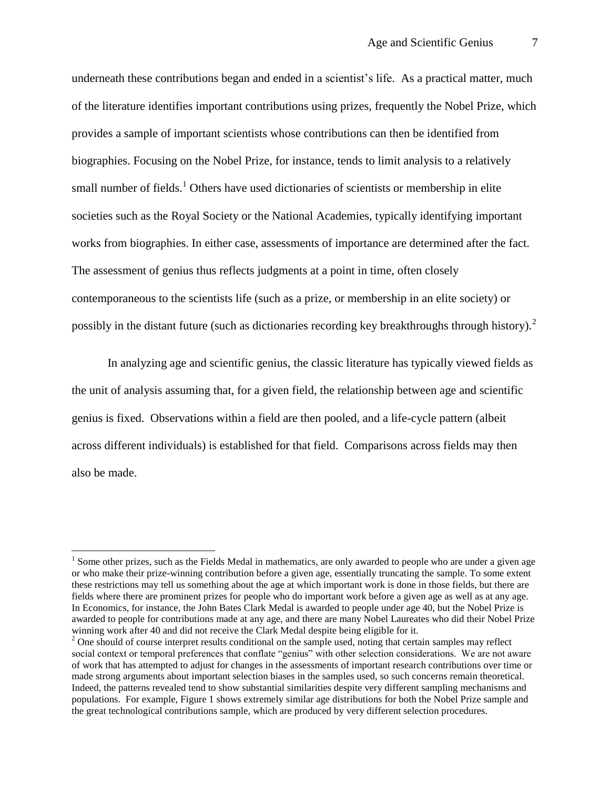underneath these contributions began and ended in a scientist's life. As a practical matter, much of the literature identifies important contributions using prizes, frequently the Nobel Prize, which provides a sample of important scientists whose contributions can then be identified from biographies. Focusing on the Nobel Prize, for instance, tends to limit analysis to a relatively small number of fields.<sup>1</sup> Others have used dictionaries of scientists or membership in elite societies such as the Royal Society or the National Academies, typically identifying important works from biographies. In either case, assessments of importance are determined after the fact. The assessment of genius thus reflects judgments at a point in time, often closely contemporaneous to the scientists life (such as a prize, or membership in an elite society) or possibly in the distant future (such as dictionaries recording key breakthroughs through history).<sup>2</sup>

In analyzing age and scientific genius, the classic literature has typically viewed fields as the unit of analysis assuming that, for a given field, the relationship between age and scientific genius is fixed. Observations within a field are then pooled, and a life-cycle pattern (albeit across different individuals) is established for that field. Comparisons across fields may then also be made.

 $\overline{a}$ 

 $1$  Some other prizes, such as the Fields Medal in mathematics, are only awarded to people who are under a given age or who make their prize-winning contribution before a given age, essentially truncating the sample. To some extent these restrictions may tell us something about the age at which important work is done in those fields, but there are fields where there are prominent prizes for people who do important work before a given age as well as at any age. In Economics, for instance, the John Bates Clark Medal is awarded to people under age 40, but the Nobel Prize is awarded to people for contributions made at any age, and there are many Nobel Laureates who did their Nobel Prize winning work after 40 and did not receive the Clark Medal despite being eligible for it.

 $<sup>2</sup>$  One should of course interpret results conditional on the sample used, noting that certain samples may reflect</sup> social context or temporal preferences that conflate "genius" with other selection considerations. We are not aware of work that has attempted to adjust for changes in the assessments of important research contributions over time or made strong arguments about important selection biases in the samples used, so such concerns remain theoretical. Indeed, the patterns revealed tend to show substantial similarities despite very different sampling mechanisms and populations. For example, Figure 1 shows extremely similar age distributions for both the Nobel Prize sample and the great technological contributions sample, which are produced by very different selection procedures.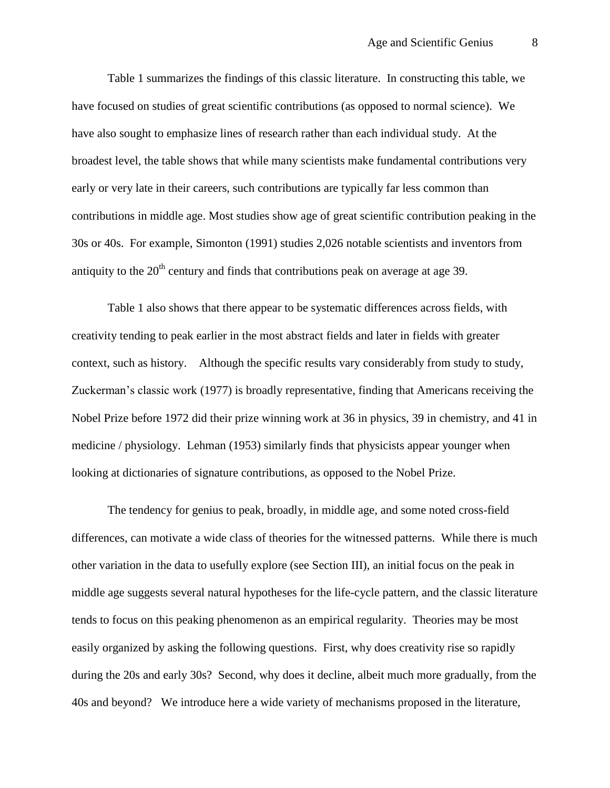Table 1 summarizes the findings of this classic literature. In constructing this table, we have focused on studies of great scientific contributions (as opposed to normal science). We have also sought to emphasize lines of research rather than each individual study. At the broadest level, the table shows that while many scientists make fundamental contributions very early or very late in their careers, such contributions are typically far less common than contributions in middle age. Most studies show age of great scientific contribution peaking in the 30s or 40s. For example, Simonton (1991) studies 2,026 notable scientists and inventors from antiquity to the  $20<sup>th</sup>$  century and finds that contributions peak on average at age 39.

Table 1 also shows that there appear to be systematic differences across fields, with creativity tending to peak earlier in the most abstract fields and later in fields with greater context, such as history. Although the specific results vary considerably from study to study, Zuckerman's classic work (1977) is broadly representative, finding that Americans receiving the Nobel Prize before 1972 did their prize winning work at 36 in physics, 39 in chemistry, and 41 in medicine / physiology. Lehman (1953) similarly finds that physicists appear younger when looking at dictionaries of signature contributions, as opposed to the Nobel Prize.

The tendency for genius to peak, broadly, in middle age, and some noted cross-field differences, can motivate a wide class of theories for the witnessed patterns. While there is much other variation in the data to usefully explore (see Section III), an initial focus on the peak in middle age suggests several natural hypotheses for the life-cycle pattern, and the classic literature tends to focus on this peaking phenomenon as an empirical regularity. Theories may be most easily organized by asking the following questions. First, why does creativity rise so rapidly during the 20s and early 30s? Second, why does it decline, albeit much more gradually, from the 40s and beyond? We introduce here a wide variety of mechanisms proposed in the literature,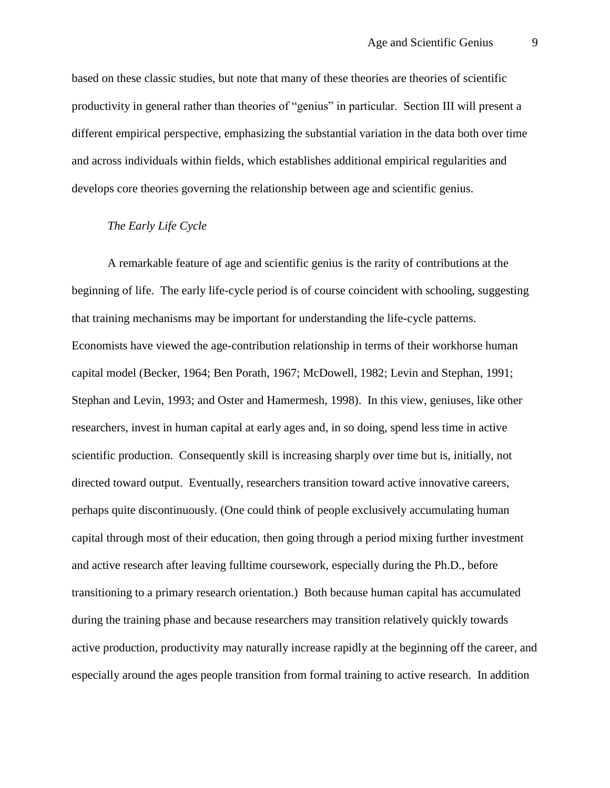based on these classic studies, but note that many of these theories are theories of scientific productivity in general rather than theories of "genius" in particular. Section III will present a different empirical perspective, emphasizing the substantial variation in the data both over time and across individuals within fields, which establishes additional empirical regularities and develops core theories governing the relationship between age and scientific genius.

#### *The Early Life Cycle*

A remarkable feature of age and scientific genius is the rarity of contributions at the beginning of life. The early life-cycle period is of course coincident with schooling, suggesting that training mechanisms may be important for understanding the life-cycle patterns. Economists have viewed the age-contribution relationship in terms of their workhorse human capital model (Becker, 1964; Ben Porath, 1967; McDowell, 1982; Levin and Stephan, 1991; Stephan and Levin, 1993; and Oster and Hamermesh, 1998). In this view, geniuses, like other researchers, invest in human capital at early ages and, in so doing, spend less time in active scientific production. Consequently skill is increasing sharply over time but is, initially, not directed toward output. Eventually, researchers transition toward active innovative careers, perhaps quite discontinuously. (One could think of people exclusively accumulating human capital through most of their education, then going through a period mixing further investment and active research after leaving fulltime coursework, especially during the Ph.D., before transitioning to a primary research orientation.) Both because human capital has accumulated during the training phase and because researchers may transition relatively quickly towards active production, productivity may naturally increase rapidly at the beginning off the career, and especially around the ages people transition from formal training to active research. In addition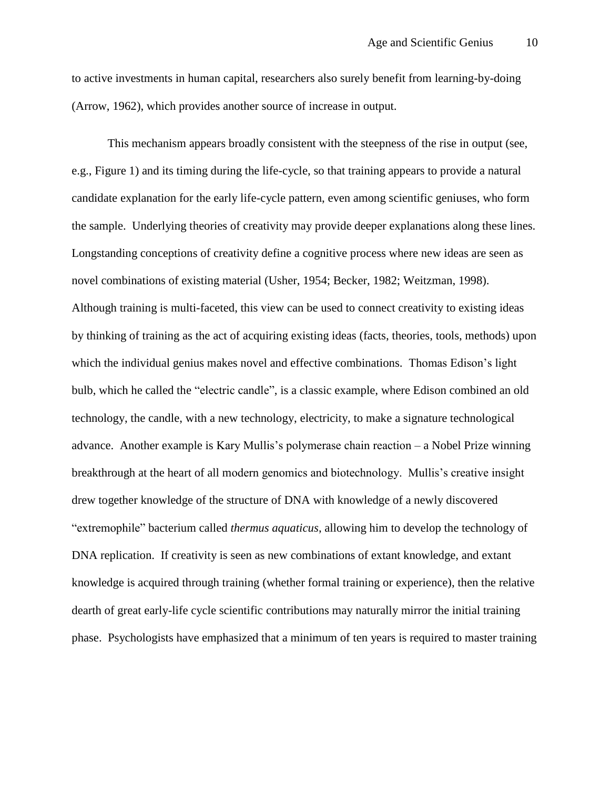to active investments in human capital, researchers also surely benefit from learning-by-doing (Arrow, 1962), which provides another source of increase in output.

This mechanism appears broadly consistent with the steepness of the rise in output (see, e.g., Figure 1) and its timing during the life-cycle, so that training appears to provide a natural candidate explanation for the early life-cycle pattern, even among scientific geniuses, who form the sample. Underlying theories of creativity may provide deeper explanations along these lines. Longstanding conceptions of creativity define a cognitive process where new ideas are seen as novel combinations of existing material (Usher, 1954; Becker, 1982; Weitzman, 1998). Although training is multi-faceted, this view can be used to connect creativity to existing ideas by thinking of training as the act of acquiring existing ideas (facts, theories, tools, methods) upon which the individual genius makes novel and effective combinations. Thomas Edison's light bulb, which he called the "electric candle", is a classic example, where Edison combined an old technology, the candle, with a new technology, electricity, to make a signature technological advance. Another example is Kary Mullis's polymerase chain reaction – a Nobel Prize winning breakthrough at the heart of all modern genomics and biotechnology. Mullis's creative insight drew together knowledge of the structure of DNA with knowledge of a newly discovered "extremophile" bacterium called *thermus aquaticus*, allowing him to develop the technology of DNA replication. If creativity is seen as new combinations of extant knowledge, and extant knowledge is acquired through training (whether formal training or experience), then the relative dearth of great early-life cycle scientific contributions may naturally mirror the initial training phase. Psychologists have emphasized that a minimum of ten years is required to master training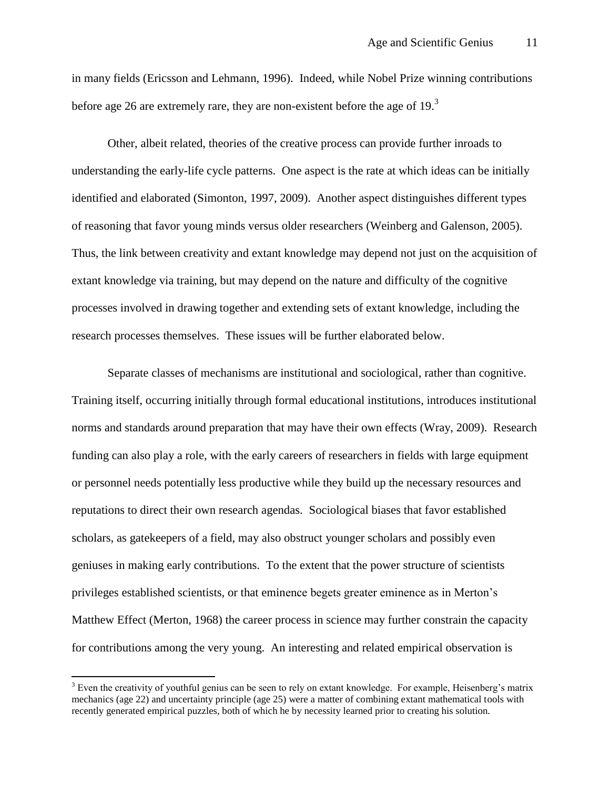in many fields (Ericsson and Lehmann, 1996). Indeed, while Nobel Prize winning contributions before age 26 are extremely rare, they are non-existent before the age of  $19<sup>3</sup>$ 

Other, albeit related, theories of the creative process can provide further inroads to understanding the early-life cycle patterns. One aspect is the rate at which ideas can be initially identified and elaborated (Simonton, 1997, 2009). Another aspect distinguishes different types of reasoning that favor young minds versus older researchers (Weinberg and Galenson, 2005). Thus, the link between creativity and extant knowledge may depend not just on the acquisition of extant knowledge via training, but may depend on the nature and difficulty of the cognitive processes involved in drawing together and extending sets of extant knowledge, including the research processes themselves. These issues will be further elaborated below.

Separate classes of mechanisms are institutional and sociological, rather than cognitive. Training itself, occurring initially through formal educational institutions, introduces institutional norms and standards around preparation that may have their own effects (Wray, 2009). Research funding can also play a role, with the early careers of researchers in fields with large equipment or personnel needs potentially less productive while they build up the necessary resources and reputations to direct their own research agendas. Sociological biases that favor established scholars, as gatekeepers of a field, may also obstruct younger scholars and possibly even geniuses in making early contributions. To the extent that the power structure of scientists privileges established scientists, or that eminence begets greater eminence as in Merton's Matthew Effect (Merton, 1968) the career process in science may further constrain the capacity for contributions among the very young. An interesting and related empirical observation is

 $\overline{\phantom{a}}$ 

 $3$  Even the creativity of youthful genius can be seen to rely on extant knowledge. For example, Heisenberg's matrix mechanics (age 22) and uncertainty principle (age 25) were a matter of combining extant mathematical tools with recently generated empirical puzzles, both of which he by necessity learned prior to creating his solution.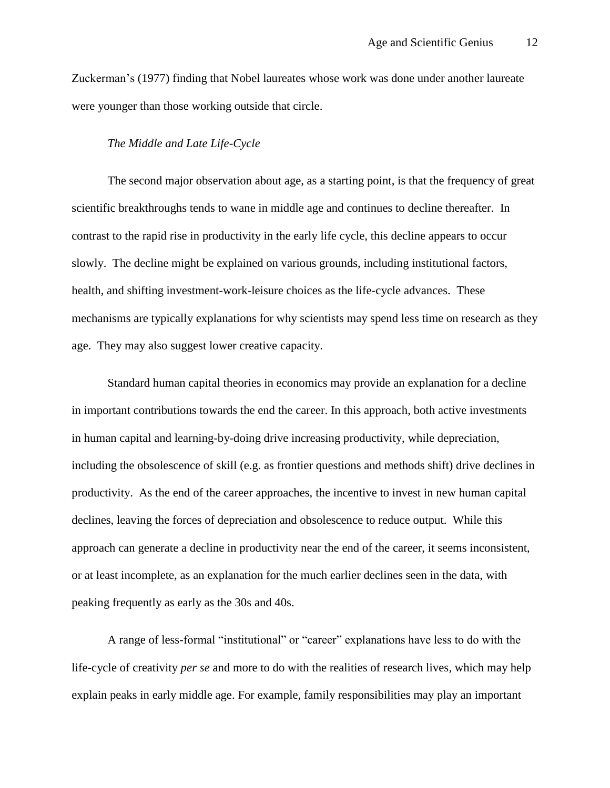Zuckerman's (1977) finding that Nobel laureates whose work was done under another laureate were younger than those working outside that circle.

#### *The Middle and Late Life-Cycle*

The second major observation about age, as a starting point, is that the frequency of great scientific breakthroughs tends to wane in middle age and continues to decline thereafter. In contrast to the rapid rise in productivity in the early life cycle, this decline appears to occur slowly. The decline might be explained on various grounds, including institutional factors, health, and shifting investment-work-leisure choices as the life-cycle advances. These mechanisms are typically explanations for why scientists may spend less time on research as they age. They may also suggest lower creative capacity.

Standard human capital theories in economics may provide an explanation for a decline in important contributions towards the end the career. In this approach, both active investments in human capital and learning-by-doing drive increasing productivity, while depreciation, including the obsolescence of skill (e.g. as frontier questions and methods shift) drive declines in productivity. As the end of the career approaches, the incentive to invest in new human capital declines, leaving the forces of depreciation and obsolescence to reduce output. While this approach can generate a decline in productivity near the end of the career, it seems inconsistent, or at least incomplete, as an explanation for the much earlier declines seen in the data, with peaking frequently as early as the 30s and 40s.

A range of less-formal "institutional" or "career" explanations have less to do with the life-cycle of creativity *per se* and more to do with the realities of research lives, which may help explain peaks in early middle age. For example, family responsibilities may play an important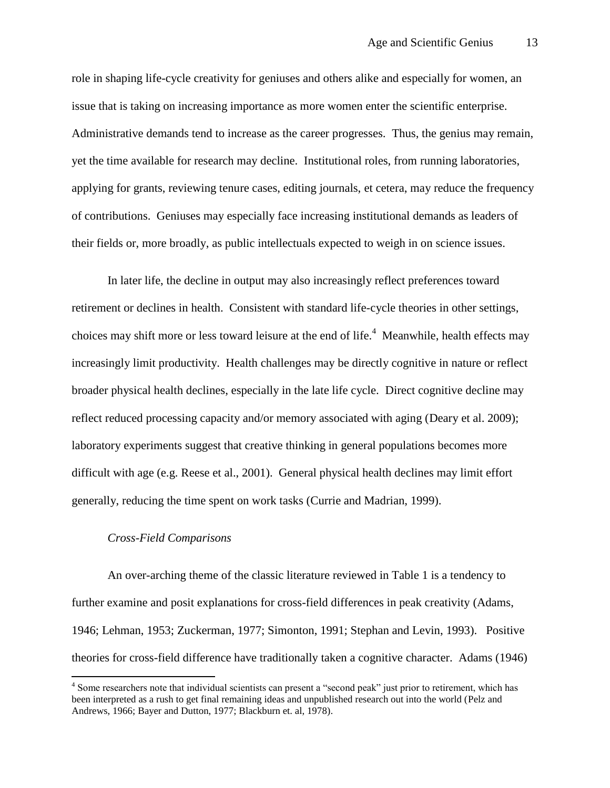role in shaping life-cycle creativity for geniuses and others alike and especially for women, an issue that is taking on increasing importance as more women enter the scientific enterprise. Administrative demands tend to increase as the career progresses. Thus, the genius may remain, yet the time available for research may decline. Institutional roles, from running laboratories, applying for grants, reviewing tenure cases, editing journals, et cetera, may reduce the frequency of contributions. Geniuses may especially face increasing institutional demands as leaders of their fields or, more broadly, as public intellectuals expected to weigh in on science issues.

In later life, the decline in output may also increasingly reflect preferences toward retirement or declines in health. Consistent with standard life-cycle theories in other settings, choices may shift more or less toward leisure at the end of life.<sup>4</sup> Meanwhile, health effects may increasingly limit productivity. Health challenges may be directly cognitive in nature or reflect broader physical health declines, especially in the late life cycle. Direct cognitive decline may reflect reduced processing capacity and/or memory associated with aging (Deary et al. 2009); laboratory experiments suggest that creative thinking in general populations becomes more difficult with age (e.g. Reese et al., 2001). General physical health declines may limit effort generally, reducing the time spent on work tasks (Currie and Madrian, 1999).

#### *Cross-Field Comparisons*

 $\overline{\phantom{a}}$ 

An over-arching theme of the classic literature reviewed in Table 1 is a tendency to further examine and posit explanations for cross-field differences in peak creativity (Adams, 1946; Lehman, 1953; Zuckerman, 1977; Simonton, 1991; Stephan and Levin, 1993). Positive theories for cross-field difference have traditionally taken a cognitive character. Adams (1946)

<sup>&</sup>lt;sup>4</sup> Some researchers note that individual scientists can present a "second peak" just prior to retirement, which has been interpreted as a rush to get final remaining ideas and unpublished research out into the world (Pelz and Andrews, 1966; Bayer and Dutton, 1977; Blackburn et. al, 1978).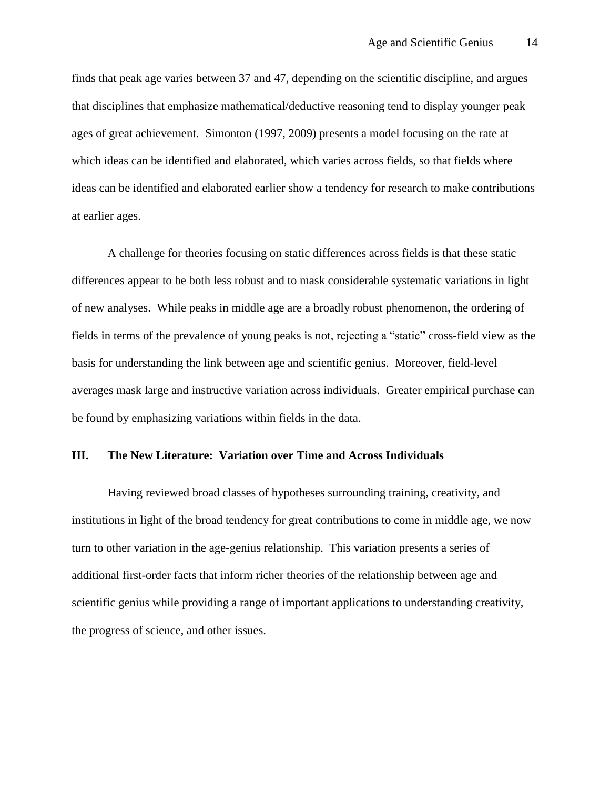finds that peak age varies between 37 and 47, depending on the scientific discipline, and argues that disciplines that emphasize mathematical/deductive reasoning tend to display younger peak ages of great achievement. Simonton (1997, 2009) presents a model focusing on the rate at which ideas can be identified and elaborated, which varies across fields, so that fields where ideas can be identified and elaborated earlier show a tendency for research to make contributions at earlier ages.

A challenge for theories focusing on static differences across fields is that these static differences appear to be both less robust and to mask considerable systematic variations in light of new analyses. While peaks in middle age are a broadly robust phenomenon, the ordering of fields in terms of the prevalence of young peaks is not, rejecting a "static" cross-field view as the basis for understanding the link between age and scientific genius. Moreover, field-level averages mask large and instructive variation across individuals. Greater empirical purchase can be found by emphasizing variations within fields in the data.

#### **III. The New Literature: Variation over Time and Across Individuals**

Having reviewed broad classes of hypotheses surrounding training, creativity, and institutions in light of the broad tendency for great contributions to come in middle age, we now turn to other variation in the age-genius relationship. This variation presents a series of additional first-order facts that inform richer theories of the relationship between age and scientific genius while providing a range of important applications to understanding creativity, the progress of science, and other issues.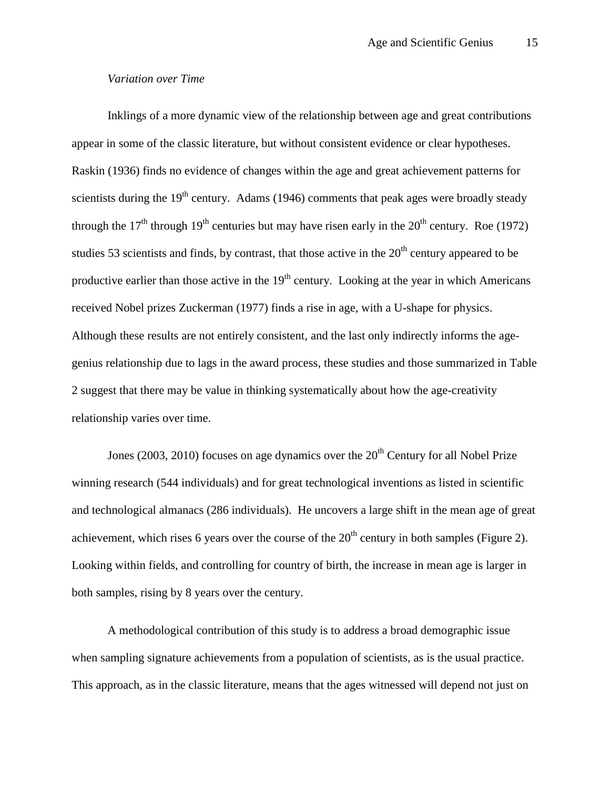#### *Variation over Time*

Inklings of a more dynamic view of the relationship between age and great contributions appear in some of the classic literature, but without consistent evidence or clear hypotheses. Raskin (1936) finds no evidence of changes within the age and great achievement patterns for scientists during the  $19<sup>th</sup>$  century. Adams (1946) comments that peak ages were broadly steady through the 17<sup>th</sup> through 19<sup>th</sup> centuries but may have risen early in the 20<sup>th</sup> century. Roe (1972) studies 53 scientists and finds, by contrast, that those active in the  $20<sup>th</sup>$  century appeared to be productive earlier than those active in the  $19<sup>th</sup>$  century. Looking at the year in which Americans received Nobel prizes Zuckerman (1977) finds a rise in age, with a U-shape for physics. Although these results are not entirely consistent, and the last only indirectly informs the agegenius relationship due to lags in the award process, these studies and those summarized in Table 2 suggest that there may be value in thinking systematically about how the age-creativity relationship varies over time.

Jones (2003, 2010) focuses on age dynamics over the  $20<sup>th</sup>$  Century for all Nobel Prize winning research (544 individuals) and for great technological inventions as listed in scientific and technological almanacs (286 individuals). He uncovers a large shift in the mean age of great achievement, which rises 6 years over the course of the  $20<sup>th</sup>$  century in both samples (Figure 2). Looking within fields, and controlling for country of birth, the increase in mean age is larger in both samples, rising by 8 years over the century.

A methodological contribution of this study is to address a broad demographic issue when sampling signature achievements from a population of scientists, as is the usual practice. This approach, as in the classic literature, means that the ages witnessed will depend not just on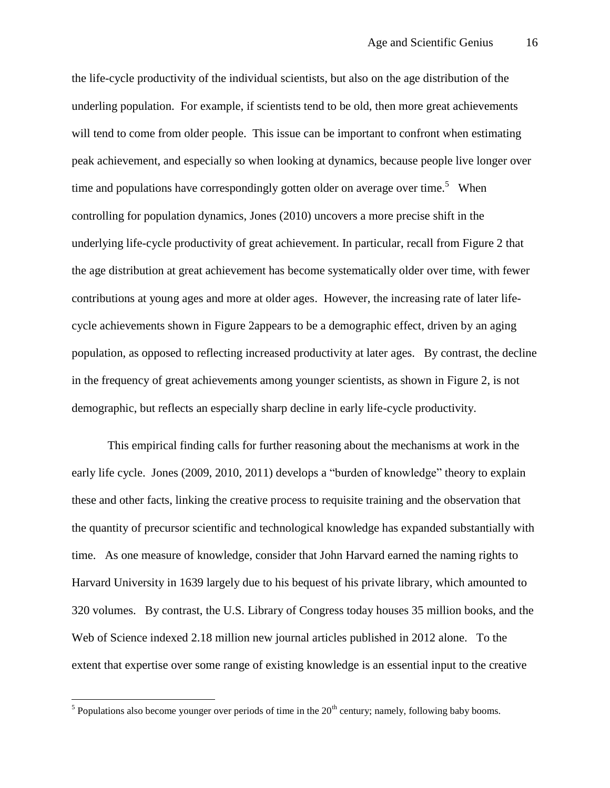the life-cycle productivity of the individual scientists, but also on the age distribution of the underling population. For example, if scientists tend to be old, then more great achievements will tend to come from older people. This issue can be important to confront when estimating peak achievement, and especially so when looking at dynamics, because people live longer over time and populations have correspondingly gotten older on average over time.<sup>5</sup> When controlling for population dynamics, Jones (2010) uncovers a more precise shift in the underlying life-cycle productivity of great achievement. In particular, recall from Figure 2 that the age distribution at great achievement has become systematically older over time, with fewer contributions at young ages and more at older ages. However, the increasing rate of later lifecycle achievements shown in Figure 2appears to be a demographic effect, driven by an aging population, as opposed to reflecting increased productivity at later ages. By contrast, the decline in the frequency of great achievements among younger scientists, as shown in Figure 2, is not demographic, but reflects an especially sharp decline in early life-cycle productivity.

This empirical finding calls for further reasoning about the mechanisms at work in the early life cycle. Jones (2009, 2010, 2011) develops a "burden of knowledge" theory to explain these and other facts, linking the creative process to requisite training and the observation that the quantity of precursor scientific and technological knowledge has expanded substantially with time. As one measure of knowledge, consider that John Harvard earned the naming rights to Harvard University in 1639 largely due to his bequest of his private library, which amounted to 320 volumes. By contrast, the U.S. Library of Congress today houses 35 million books, and the Web of Science indexed 2.18 million new journal articles published in 2012 alone. To the extent that expertise over some range of existing knowledge is an essential input to the creative

 $\overline{\phantom{a}}$ 

<sup>&</sup>lt;sup>5</sup> Populations also become younger over periods of time in the  $20<sup>th</sup>$  century; namely, following baby booms.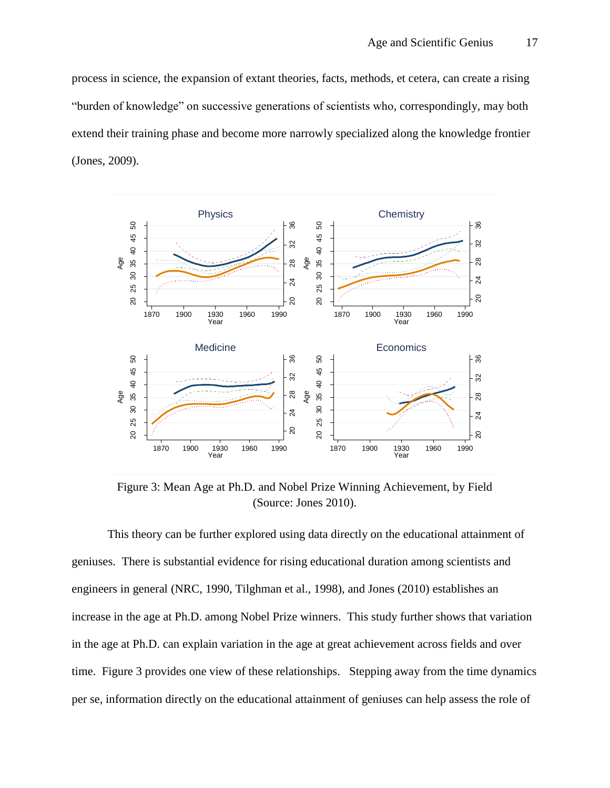process in science, the expansion of extant theories, facts, methods, et cetera, can create a rising "burden of knowledge" on successive generations of scientists who, correspondingly, may both extend their training phase and become more narrowly specialized along the knowledge frontier (Jones, 2009).



Figure 3: Mean Age at Ph.D. and Nobel Prize Winning Achievement, by Field (Source: Jones 2010).

This theory can be further explored using data directly on the educational attainment of geniuses. There is substantial evidence for rising educational duration among scientists and engineers in general (NRC, 1990, Tilghman et al., 1998), and Jones (2010) establishes an increase in the age at Ph.D. among Nobel Prize winners. This study further shows that variation in the age at Ph.D. can explain variation in the age at great achievement across fields and over time. Figure 3 provides one view of these relationships. Stepping away from the time dynamics per se, information directly on the educational attainment of geniuses can help assess the role of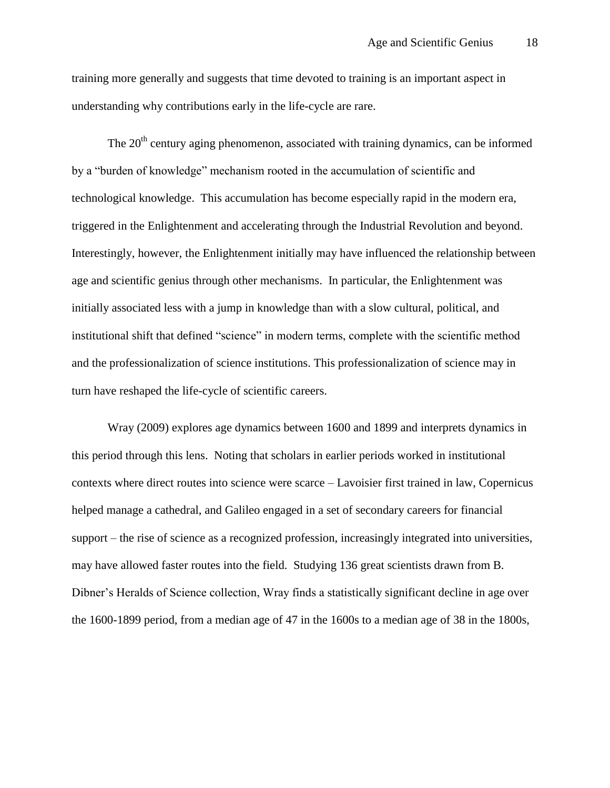training more generally and suggests that time devoted to training is an important aspect in understanding why contributions early in the life-cycle are rare.

The  $20<sup>th</sup>$  century aging phenomenon, associated with training dynamics, can be informed by a "burden of knowledge" mechanism rooted in the accumulation of scientific and technological knowledge. This accumulation has become especially rapid in the modern era, triggered in the Enlightenment and accelerating through the Industrial Revolution and beyond. Interestingly, however, the Enlightenment initially may have influenced the relationship between age and scientific genius through other mechanisms. In particular, the Enlightenment was initially associated less with a jump in knowledge than with a slow cultural, political, and institutional shift that defined "science" in modern terms, complete with the scientific method and the professionalization of science institutions. This professionalization of science may in turn have reshaped the life-cycle of scientific careers.

Wray (2009) explores age dynamics between 1600 and 1899 and interprets dynamics in this period through this lens. Noting that scholars in earlier periods worked in institutional contexts where direct routes into science were scarce – Lavoisier first trained in law, Copernicus helped manage a cathedral, and Galileo engaged in a set of secondary careers for financial support – the rise of science as a recognized profession, increasingly integrated into universities, may have allowed faster routes into the field. Studying 136 great scientists drawn from B. Dibner's Heralds of Science collection, Wray finds a statistically significant decline in age over the 1600-1899 period, from a median age of 47 in the 1600s to a median age of 38 in the 1800s,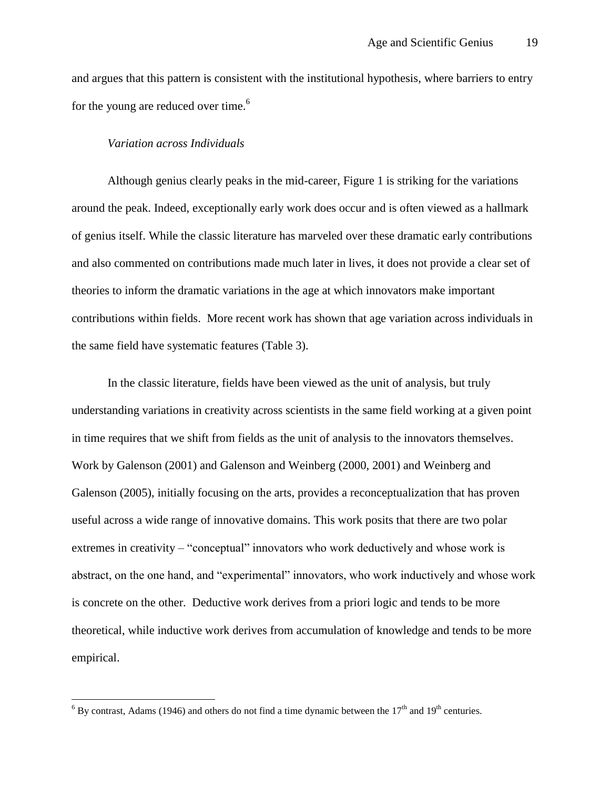and argues that this pattern is consistent with the institutional hypothesis, where barriers to entry for the young are reduced over time.<sup>6</sup>

#### *Variation across Individuals*

Although genius clearly peaks in the mid-career, Figure 1 is striking for the variations around the peak. Indeed, exceptionally early work does occur and is often viewed as a hallmark of genius itself. While the classic literature has marveled over these dramatic early contributions and also commented on contributions made much later in lives, it does not provide a clear set of theories to inform the dramatic variations in the age at which innovators make important contributions within fields. More recent work has shown that age variation across individuals in the same field have systematic features (Table 3).

In the classic literature, fields have been viewed as the unit of analysis, but truly understanding variations in creativity across scientists in the same field working at a given point in time requires that we shift from fields as the unit of analysis to the innovators themselves. Work by Galenson (2001) and Galenson and Weinberg (2000, 2001) and Weinberg and Galenson (2005), initially focusing on the arts, provides a reconceptualization that has proven useful across a wide range of innovative domains. This work posits that there are two polar extremes in creativity – "conceptual" innovators who work deductively and whose work is abstract, on the one hand, and "experimental" innovators, who work inductively and whose work is concrete on the other. Deductive work derives from a priori logic and tends to be more theoretical, while inductive work derives from accumulation of knowledge and tends to be more empirical.

 $\overline{\phantom{a}}$ 

 $6$  By contrast, Adams (1946) and others do not find a time dynamic between the 17<sup>th</sup> and 19<sup>th</sup> centuries.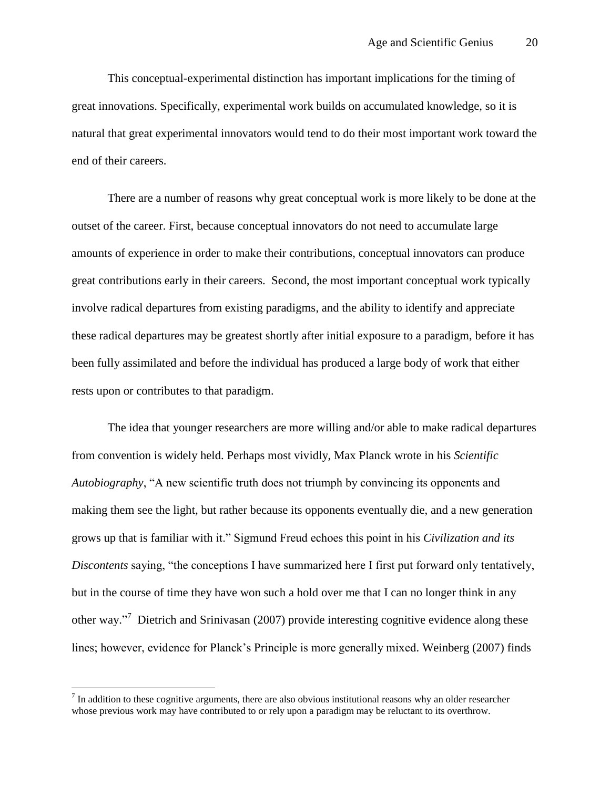This conceptual-experimental distinction has important implications for the timing of great innovations. Specifically, experimental work builds on accumulated knowledge, so it is natural that great experimental innovators would tend to do their most important work toward the end of their careers.

There are a number of reasons why great conceptual work is more likely to be done at the outset of the career. First, because conceptual innovators do not need to accumulate large amounts of experience in order to make their contributions, conceptual innovators can produce great contributions early in their careers. Second, the most important conceptual work typically involve radical departures from existing paradigms, and the ability to identify and appreciate these radical departures may be greatest shortly after initial exposure to a paradigm, before it has been fully assimilated and before the individual has produced a large body of work that either rests upon or contributes to that paradigm.

The idea that younger researchers are more willing and/or able to make radical departures from convention is widely held. Perhaps most vividly, Max Planck wrote in his *Scientific Autobiography*, "A new scientific truth does not triumph by convincing its opponents and making them see the light, but rather because its opponents eventually die, and a new generation grows up that is familiar with it." Sigmund Freud echoes this point in his *Civilization and its Discontents* saying, "the conceptions I have summarized here I first put forward only tentatively, but in the course of time they have won such a hold over me that I can no longer think in any other way."<sup>7</sup> Dietrich and Srinivasan (2007) provide interesting cognitive evidence along these lines; however, evidence for Planck's Principle is more generally mixed. Weinberg (2007) finds

 $\overline{\phantom{a}}$ 

 $<sup>7</sup>$  In addition to these cognitive arguments, there are also obvious institutional reasons why an older researcher</sup> whose previous work may have contributed to or rely upon a paradigm may be reluctant to its overthrow.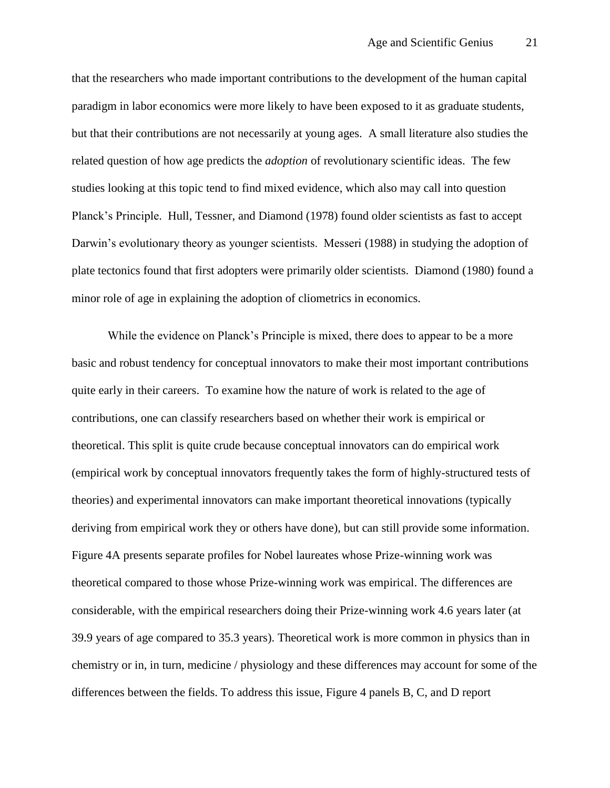that the researchers who made important contributions to the development of the human capital paradigm in labor economics were more likely to have been exposed to it as graduate students, but that their contributions are not necessarily at young ages. A small literature also studies the related question of how age predicts the *adoption* of revolutionary scientific ideas. The few studies looking at this topic tend to find mixed evidence, which also may call into question Planck's Principle. Hull, Tessner, and Diamond (1978) found older scientists as fast to accept Darwin's evolutionary theory as younger scientists. Messeri (1988) in studying the adoption of plate tectonics found that first adopters were primarily older scientists. Diamond (1980) found a minor role of age in explaining the adoption of cliometrics in economics.

While the evidence on Planck's Principle is mixed, there does to appear to be a more basic and robust tendency for conceptual innovators to make their most important contributions quite early in their careers. To examine how the nature of work is related to the age of contributions, one can classify researchers based on whether their work is empirical or theoretical. This split is quite crude because conceptual innovators can do empirical work (empirical work by conceptual innovators frequently takes the form of highly-structured tests of theories) and experimental innovators can make important theoretical innovations (typically deriving from empirical work they or others have done), but can still provide some information. Figure 4A presents separate profiles for Nobel laureates whose Prize-winning work was theoretical compared to those whose Prize-winning work was empirical. The differences are considerable, with the empirical researchers doing their Prize-winning work 4.6 years later (at 39.9 years of age compared to 35.3 years). Theoretical work is more common in physics than in chemistry or in, in turn, medicine / physiology and these differences may account for some of the differences between the fields. To address this issue, Figure 4 panels B, C, and D report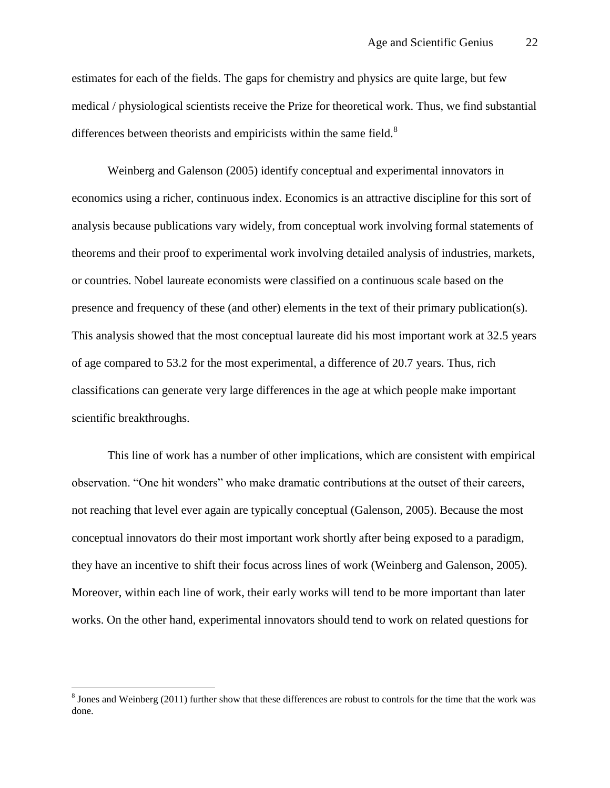estimates for each of the fields. The gaps for chemistry and physics are quite large, but few medical / physiological scientists receive the Prize for theoretical work. Thus, we find substantial differences between theorists and empiricists within the same field.<sup>8</sup>

Weinberg and Galenson (2005) identify conceptual and experimental innovators in economics using a richer, continuous index. Economics is an attractive discipline for this sort of analysis because publications vary widely, from conceptual work involving formal statements of theorems and their proof to experimental work involving detailed analysis of industries, markets, or countries. Nobel laureate economists were classified on a continuous scale based on the presence and frequency of these (and other) elements in the text of their primary publication(s). This analysis showed that the most conceptual laureate did his most important work at 32.5 years of age compared to 53.2 for the most experimental, a difference of 20.7 years. Thus, rich classifications can generate very large differences in the age at which people make important scientific breakthroughs.

This line of work has a number of other implications, which are consistent with empirical observation. "One hit wonders" who make dramatic contributions at the outset of their careers, not reaching that level ever again are typically conceptual (Galenson, 2005). Because the most conceptual innovators do their most important work shortly after being exposed to a paradigm, they have an incentive to shift their focus across lines of work (Weinberg and Galenson, 2005). Moreover, within each line of work, their early works will tend to be more important than later works. On the other hand, experimental innovators should tend to work on related questions for

<sup>&</sup>lt;sup>8</sup> Jones and Weinberg (2011) further show that these differences are robust to controls for the time that the work was done.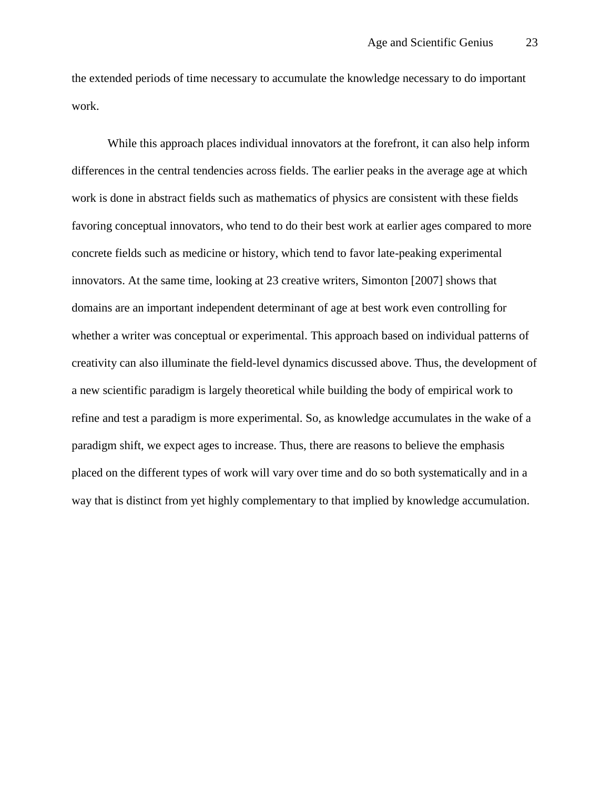the extended periods of time necessary to accumulate the knowledge necessary to do important work.

While this approach places individual innovators at the forefront, it can also help inform differences in the central tendencies across fields. The earlier peaks in the average age at which work is done in abstract fields such as mathematics of physics are consistent with these fields favoring conceptual innovators, who tend to do their best work at earlier ages compared to more concrete fields such as medicine or history, which tend to favor late-peaking experimental innovators. At the same time, looking at 23 creative writers, Simonton [2007] shows that domains are an important independent determinant of age at best work even controlling for whether a writer was conceptual or experimental. This approach based on individual patterns of creativity can also illuminate the field-level dynamics discussed above. Thus, the development of a new scientific paradigm is largely theoretical while building the body of empirical work to refine and test a paradigm is more experimental. So, as knowledge accumulates in the wake of a paradigm shift, we expect ages to increase. Thus, there are reasons to believe the emphasis placed on the different types of work will vary over time and do so both systematically and in a way that is distinct from yet highly complementary to that implied by knowledge accumulation.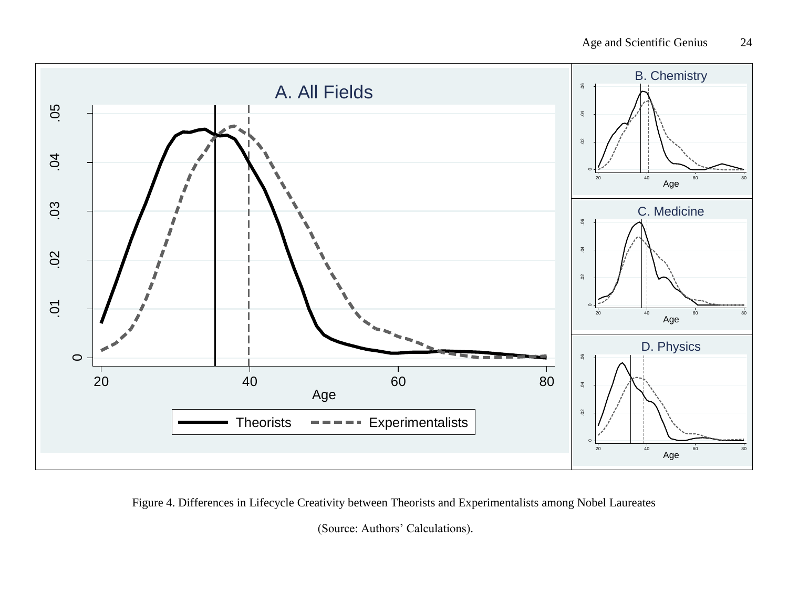

Figure 4. Differences in Lifecycle Creativity between Theorists and Experimentalists among Nobel Laureates

(Source: Authors' Calculations).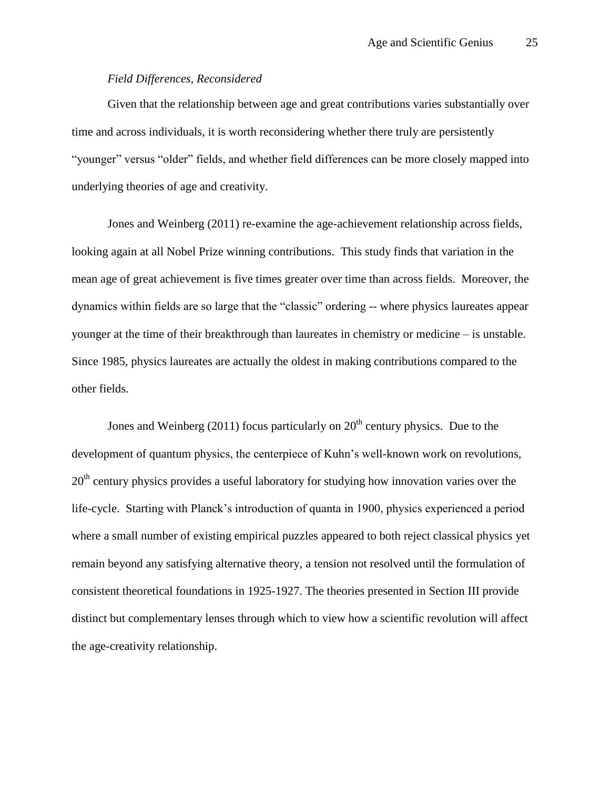## *Field Differences, Reconsidered*

Given that the relationship between age and great contributions varies substantially over time and across individuals, it is worth reconsidering whether there truly are persistently "younger" versus "older" fields, and whether field differences can be more closely mapped into underlying theories of age and creativity.

Jones and Weinberg (2011) re-examine the age-achievement relationship across fields, looking again at all Nobel Prize winning contributions. This study finds that variation in the mean age of great achievement is five times greater over time than across fields. Moreover, the dynamics within fields are so large that the "classic" ordering -- where physics laureates appear younger at the time of their breakthrough than laureates in chemistry or medicine – is unstable. Since 1985, physics laureates are actually the oldest in making contributions compared to the other fields.

Jones and Weinberg (2011) focus particularly on  $20<sup>th</sup>$  century physics. Due to the development of quantum physics, the centerpiece of Kuhn's well-known work on revolutions,  $20<sup>th</sup>$  century physics provides a useful laboratory for studying how innovation varies over the life-cycle. Starting with Planck's introduction of quanta in 1900, physics experienced a period where a small number of existing empirical puzzles appeared to both reject classical physics yet remain beyond any satisfying alternative theory, a tension not resolved until the formulation of consistent theoretical foundations in 1925-1927. The theories presented in Section III provide distinct but complementary lenses through which to view how a scientific revolution will affect the age-creativity relationship.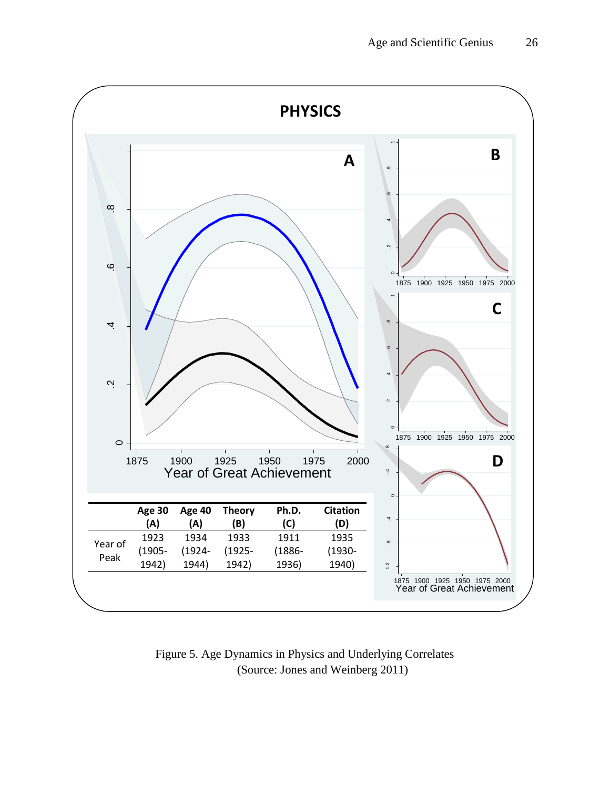

Figure 5. Age Dynamics in Physics and Underlying Correlates (Source: Jones and Weinberg 2011)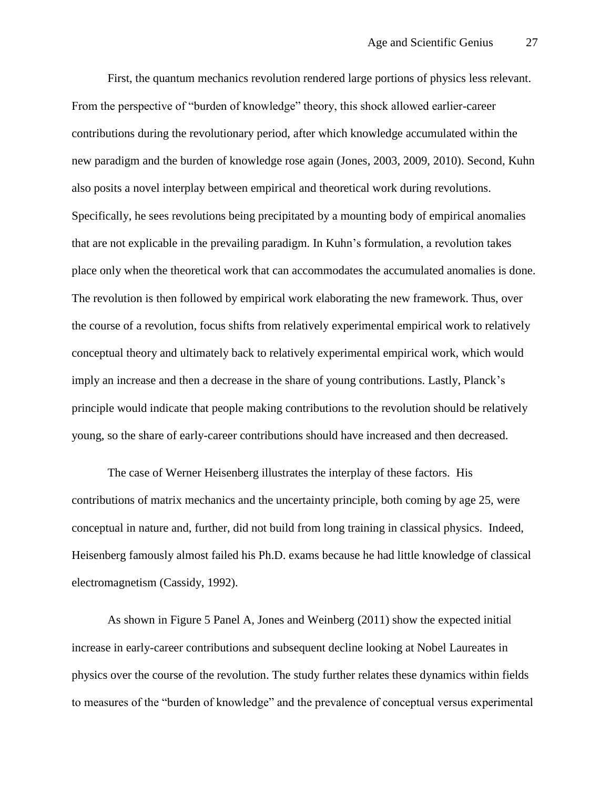First, the quantum mechanics revolution rendered large portions of physics less relevant. From the perspective of "burden of knowledge" theory, this shock allowed earlier-career contributions during the revolutionary period, after which knowledge accumulated within the new paradigm and the burden of knowledge rose again (Jones, 2003, 2009, 2010). Second, Kuhn also posits a novel interplay between empirical and theoretical work during revolutions. Specifically, he sees revolutions being precipitated by a mounting body of empirical anomalies that are not explicable in the prevailing paradigm. In Kuhn's formulation, a revolution takes place only when the theoretical work that can accommodates the accumulated anomalies is done. The revolution is then followed by empirical work elaborating the new framework. Thus, over the course of a revolution, focus shifts from relatively experimental empirical work to relatively conceptual theory and ultimately back to relatively experimental empirical work, which would imply an increase and then a decrease in the share of young contributions. Lastly, Planck's principle would indicate that people making contributions to the revolution should be relatively young, so the share of early-career contributions should have increased and then decreased.

The case of Werner Heisenberg illustrates the interplay of these factors. His contributions of matrix mechanics and the uncertainty principle, both coming by age 25, were conceptual in nature and, further, did not build from long training in classical physics. Indeed, Heisenberg famously almost failed his Ph.D. exams because he had little knowledge of classical electromagnetism (Cassidy, 1992).

As shown in Figure 5 Panel A, Jones and Weinberg (2011) show the expected initial increase in early-career contributions and subsequent decline looking at Nobel Laureates in physics over the course of the revolution. The study further relates these dynamics within fields to measures of the "burden of knowledge" and the prevalence of conceptual versus experimental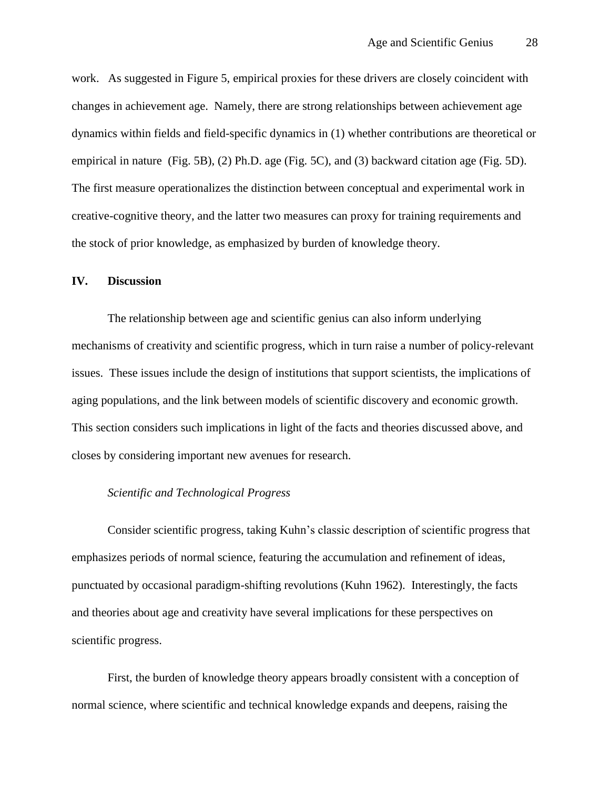work. As suggested in Figure 5, empirical proxies for these drivers are closely coincident with changes in achievement age. Namely, there are strong relationships between achievement age dynamics within fields and field-specific dynamics in (1) whether contributions are theoretical or empirical in nature (Fig. 5B), (2) Ph.D. age (Fig. 5C), and (3) backward citation age (Fig. 5D). The first measure operationalizes the distinction between conceptual and experimental work in creative-cognitive theory, and the latter two measures can proxy for training requirements and the stock of prior knowledge, as emphasized by burden of knowledge theory.

#### **IV. Discussion**

The relationship between age and scientific genius can also inform underlying mechanisms of creativity and scientific progress, which in turn raise a number of policy-relevant issues. These issues include the design of institutions that support scientists, the implications of aging populations, and the link between models of scientific discovery and economic growth. This section considers such implications in light of the facts and theories discussed above, and closes by considering important new avenues for research.

#### *Scientific and Technological Progress*

Consider scientific progress, taking Kuhn's classic description of scientific progress that emphasizes periods of normal science, featuring the accumulation and refinement of ideas, punctuated by occasional paradigm-shifting revolutions (Kuhn 1962). Interestingly, the facts and theories about age and creativity have several implications for these perspectives on scientific progress.

First, the burden of knowledge theory appears broadly consistent with a conception of normal science, where scientific and technical knowledge expands and deepens, raising the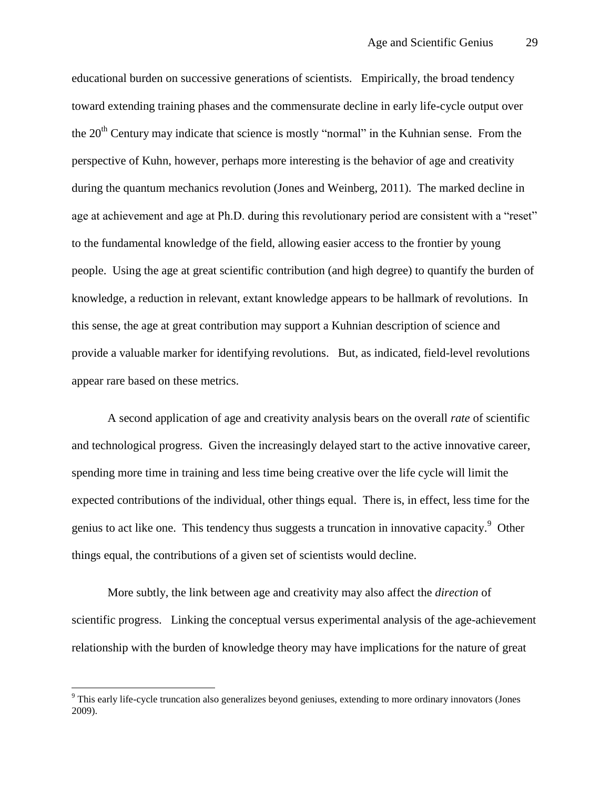educational burden on successive generations of scientists. Empirically, the broad tendency toward extending training phases and the commensurate decline in early life-cycle output over the  $20<sup>th</sup>$  Century may indicate that science is mostly "normal" in the Kuhnian sense. From the perspective of Kuhn, however, perhaps more interesting is the behavior of age and creativity during the quantum mechanics revolution (Jones and Weinberg, 2011). The marked decline in age at achievement and age at Ph.D. during this revolutionary period are consistent with a "reset" to the fundamental knowledge of the field, allowing easier access to the frontier by young people. Using the age at great scientific contribution (and high degree) to quantify the burden of knowledge, a reduction in relevant, extant knowledge appears to be hallmark of revolutions. In this sense, the age at great contribution may support a Kuhnian description of science and provide a valuable marker for identifying revolutions. But, as indicated, field-level revolutions appear rare based on these metrics.

A second application of age and creativity analysis bears on the overall *rate* of scientific and technological progress. Given the increasingly delayed start to the active innovative career, spending more time in training and less time being creative over the life cycle will limit the expected contributions of the individual, other things equal. There is, in effect, less time for the genius to act like one. This tendency thus suggests a truncation in innovative capacity.<sup>9</sup> Other things equal, the contributions of a given set of scientists would decline.

More subtly, the link between age and creativity may also affect the *direction* of scientific progress. Linking the conceptual versus experimental analysis of the age-achievement relationship with the burden of knowledge theory may have implications for the nature of great

 $\overline{\phantom{a}}$ 

 $9$  This early life-cycle truncation also generalizes beyond geniuses, extending to more ordinary innovators (Jones 2009).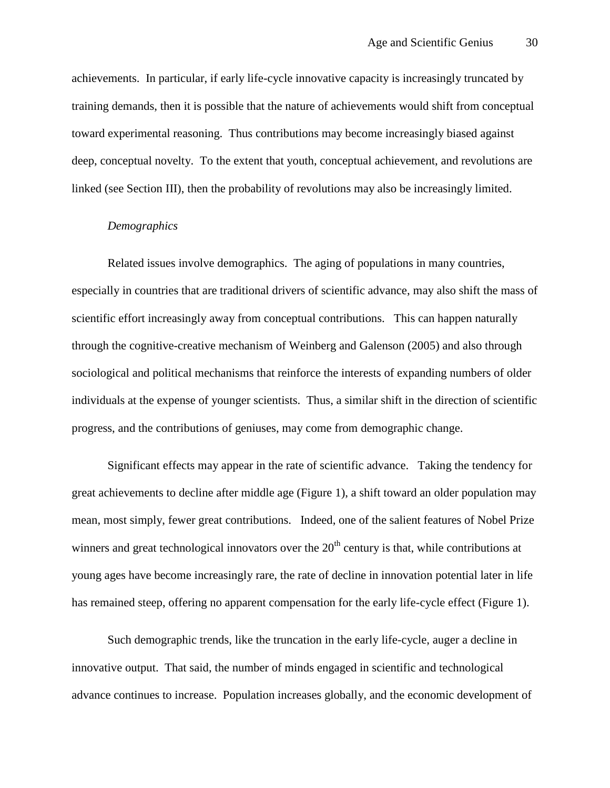achievements. In particular, if early life-cycle innovative capacity is increasingly truncated by training demands, then it is possible that the nature of achievements would shift from conceptual toward experimental reasoning. Thus contributions may become increasingly biased against deep, conceptual novelty. To the extent that youth, conceptual achievement, and revolutions are linked (see Section III), then the probability of revolutions may also be increasingly limited.

#### *Demographics*

Related issues involve demographics. The aging of populations in many countries, especially in countries that are traditional drivers of scientific advance, may also shift the mass of scientific effort increasingly away from conceptual contributions. This can happen naturally through the cognitive-creative mechanism of Weinberg and Galenson (2005) and also through sociological and political mechanisms that reinforce the interests of expanding numbers of older individuals at the expense of younger scientists. Thus, a similar shift in the direction of scientific progress, and the contributions of geniuses, may come from demographic change.

Significant effects may appear in the rate of scientific advance. Taking the tendency for great achievements to decline after middle age (Figure 1), a shift toward an older population may mean, most simply, fewer great contributions. Indeed, one of the salient features of Nobel Prize winners and great technological innovators over the  $20<sup>th</sup>$  century is that, while contributions at young ages have become increasingly rare, the rate of decline in innovation potential later in life has remained steep, offering no apparent compensation for the early life-cycle effect (Figure 1).

Such demographic trends, like the truncation in the early life-cycle, auger a decline in innovative output. That said, the number of minds engaged in scientific and technological advance continues to increase. Population increases globally, and the economic development of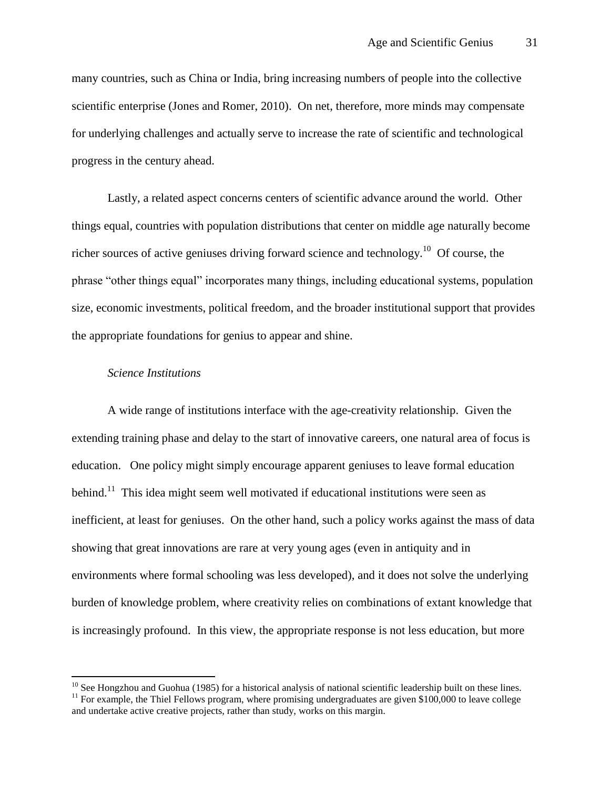many countries, such as China or India, bring increasing numbers of people into the collective scientific enterprise (Jones and Romer, 2010). On net, therefore, more minds may compensate for underlying challenges and actually serve to increase the rate of scientific and technological progress in the century ahead.

Lastly, a related aspect concerns centers of scientific advance around the world. Other things equal, countries with population distributions that center on middle age naturally become richer sources of active geniuses driving forward science and technology.<sup>10</sup> Of course, the phrase "other things equal" incorporates many things, including educational systems, population size, economic investments, political freedom, and the broader institutional support that provides the appropriate foundations for genius to appear and shine.

#### *Science Institutions*

 $\overline{\phantom{a}}$ 

A wide range of institutions interface with the age-creativity relationship. Given the extending training phase and delay to the start of innovative careers, one natural area of focus is education. One policy might simply encourage apparent geniuses to leave formal education behind.<sup>11</sup> This idea might seem well motivated if educational institutions were seen as inefficient, at least for geniuses. On the other hand, such a policy works against the mass of data showing that great innovations are rare at very young ages (even in antiquity and in environments where formal schooling was less developed), and it does not solve the underlying burden of knowledge problem, where creativity relies on combinations of extant knowledge that is increasingly profound. In this view, the appropriate response is not less education, but more

 $10$  See Hongzhou and Guohua (1985) for a historical analysis of national scientific leadership built on these lines. <sup>11</sup> For example, the Thiel Fellows program, where promising undergraduates are given \$100,000 to leave college and undertake active creative projects, rather than study, works on this margin.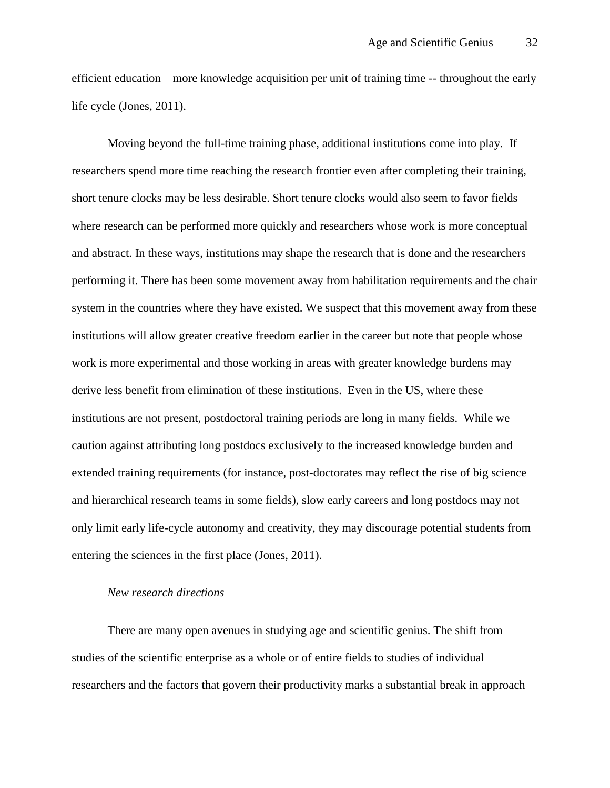efficient education – more knowledge acquisition per unit of training time -- throughout the early life cycle (Jones, 2011).

Moving beyond the full-time training phase, additional institutions come into play. If researchers spend more time reaching the research frontier even after completing their training, short tenure clocks may be less desirable. Short tenure clocks would also seem to favor fields where research can be performed more quickly and researchers whose work is more conceptual and abstract. In these ways, institutions may shape the research that is done and the researchers performing it. There has been some movement away from habilitation requirements and the chair system in the countries where they have existed. We suspect that this movement away from these institutions will allow greater creative freedom earlier in the career but note that people whose work is more experimental and those working in areas with greater knowledge burdens may derive less benefit from elimination of these institutions. Even in the US, where these institutions are not present, postdoctoral training periods are long in many fields. While we caution against attributing long postdocs exclusively to the increased knowledge burden and extended training requirements (for instance, post-doctorates may reflect the rise of big science and hierarchical research teams in some fields), slow early careers and long postdocs may not only limit early life-cycle autonomy and creativity, they may discourage potential students from entering the sciences in the first place (Jones, 2011).

#### *New research directions*

There are many open avenues in studying age and scientific genius. The shift from studies of the scientific enterprise as a whole or of entire fields to studies of individual researchers and the factors that govern their productivity marks a substantial break in approach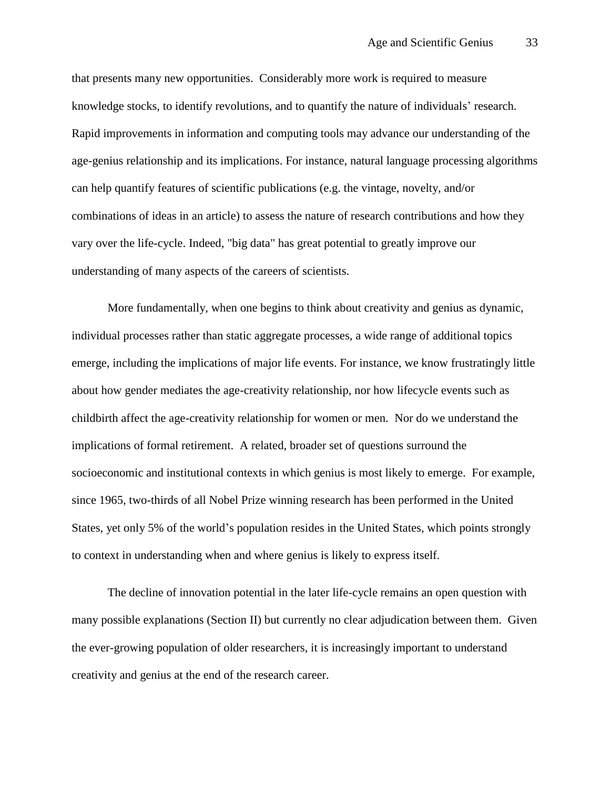that presents many new opportunities. Considerably more work is required to measure knowledge stocks, to identify revolutions, and to quantify the nature of individuals' research. Rapid improvements in information and computing tools may advance our understanding of the age-genius relationship and its implications. For instance, natural language processing algorithms can help quantify features of scientific publications (e.g. the vintage, novelty, and/or combinations of ideas in an article) to assess the nature of research contributions and how they vary over the life-cycle. Indeed, "big data" has great potential to greatly improve our understanding of many aspects of the careers of scientists.

More fundamentally, when one begins to think about creativity and genius as dynamic, individual processes rather than static aggregate processes, a wide range of additional topics emerge, including the implications of major life events. For instance, we know frustratingly little about how gender mediates the age-creativity relationship, nor how lifecycle events such as childbirth affect the age-creativity relationship for women or men. Nor do we understand the implications of formal retirement. A related, broader set of questions surround the socioeconomic and institutional contexts in which genius is most likely to emerge. For example, since 1965, two-thirds of all Nobel Prize winning research has been performed in the United States, yet only 5% of the world's population resides in the United States, which points strongly to context in understanding when and where genius is likely to express itself.

The decline of innovation potential in the later life-cycle remains an open question with many possible explanations (Section II) but currently no clear adjudication between them. Given the ever-growing population of older researchers, it is increasingly important to understand creativity and genius at the end of the research career.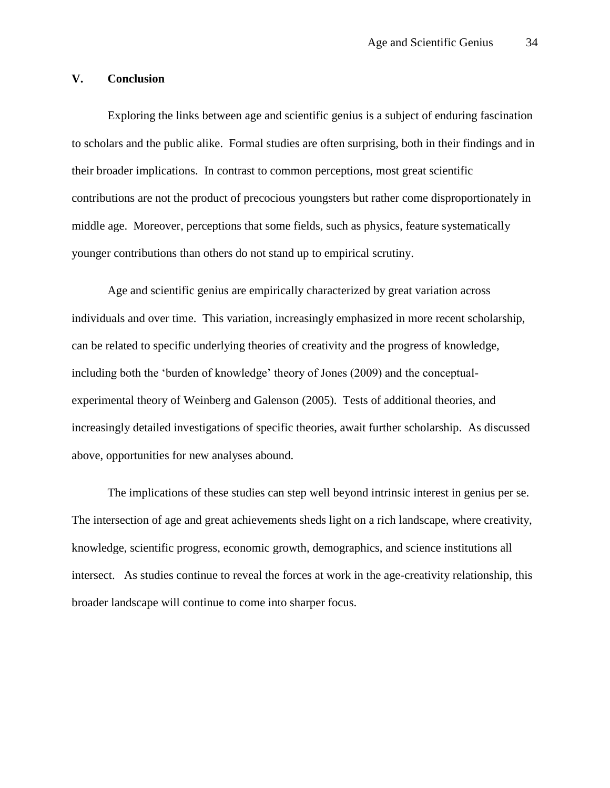#### **V. Conclusion**

Exploring the links between age and scientific genius is a subject of enduring fascination to scholars and the public alike. Formal studies are often surprising, both in their findings and in their broader implications. In contrast to common perceptions, most great scientific contributions are not the product of precocious youngsters but rather come disproportionately in middle age. Moreover, perceptions that some fields, such as physics, feature systematically younger contributions than others do not stand up to empirical scrutiny.

Age and scientific genius are empirically characterized by great variation across individuals and over time. This variation, increasingly emphasized in more recent scholarship, can be related to specific underlying theories of creativity and the progress of knowledge, including both the 'burden of knowledge' theory of Jones (2009) and the conceptualexperimental theory of Weinberg and Galenson (2005). Tests of additional theories, and increasingly detailed investigations of specific theories, await further scholarship. As discussed above, opportunities for new analyses abound.

The implications of these studies can step well beyond intrinsic interest in genius per se. The intersection of age and great achievements sheds light on a rich landscape, where creativity, knowledge, scientific progress, economic growth, demographics, and science institutions all intersect. As studies continue to reveal the forces at work in the age-creativity relationship, this broader landscape will continue to come into sharper focus.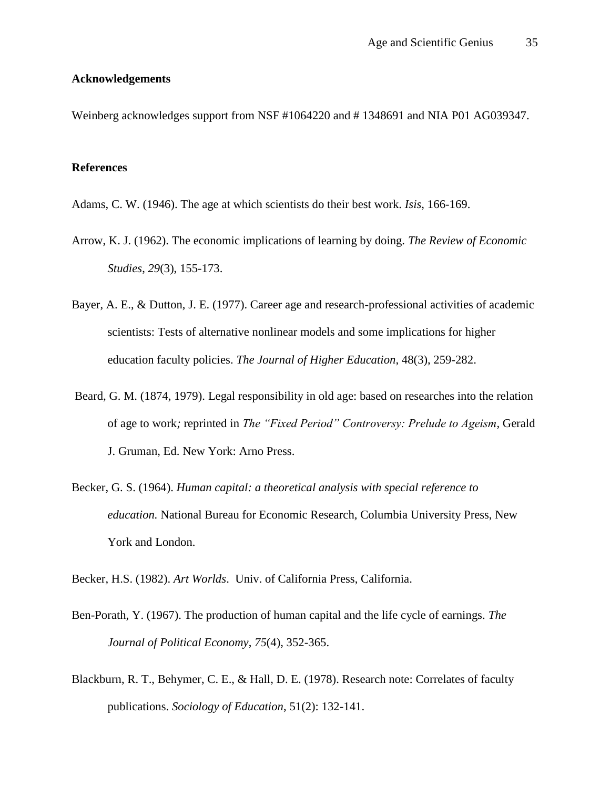#### **Acknowledgements**

Weinberg acknowledges support from NSF #1064220 and # 1348691 and NIA P01 AG039347.

#### **References**

- Adams, C. W. (1946). The age at which scientists do their best work. *Isis*, 166-169.
- Arrow, K. J. (1962). The economic implications of learning by doing. *The Review of Economic Studies*, *29*(3), 155-173.
- Bayer, A. E., & Dutton, J. E. (1977). Career age and research-professional activities of academic scientists: Tests of alternative nonlinear models and some implications for higher education faculty policies. *The Journal of Higher Education*, 48(3), 259-282.
- Beard, G. M. (1874, 1979). Legal responsibility in old age: based on researches into the relation of age to work*;* reprinted in *The "Fixed Period" Controversy: Prelude to Ageism*, Gerald J. Gruman, Ed. New York: Arno Press.
- Becker, G. S. (1964). *Human capital: a theoretical analysis with special reference to education.* National Bureau for Economic Research, Columbia University Press, New York and London.
- Becker, H.S. (1982). *Art Worlds*. Univ. of California Press, California.
- Ben-Porath, Y. (1967). The production of human capital and the life cycle of earnings. *The Journal of Political Economy*, *75*(4), 352-365.
- Blackburn, R. T., Behymer, C. E., & Hall, D. E. (1978). Research note: Correlates of faculty publications. *Sociology of Education*, 51(2): 132-141.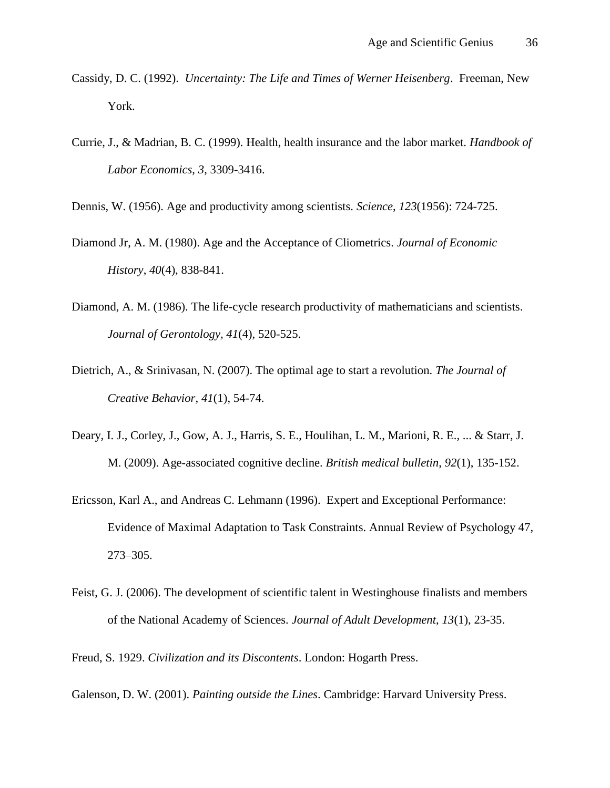- Cassidy, D. C. (1992). *Uncertainty: The Life and Times of Werner Heisenberg*. Freeman, New York.
- Currie, J., & Madrian, B. C. (1999). Health, health insurance and the labor market. *Handbook of Labor Economics*, *3*, 3309-3416.

Dennis, W. (1956). Age and productivity among scientists. *Science*, *123*(1956): 724-725.

- Diamond Jr, A. M. (1980). Age and the Acceptance of Cliometrics. *Journal of Economic History*, *40*(4), 838-841.
- Diamond, A. M. (1986). The life-cycle research productivity of mathematicians and scientists. *Journal of Gerontology, 41*(4), 520-525.
- Dietrich, A., & Srinivasan, N. (2007). The optimal age to start a revolution. *The Journal of Creative Behavior*, *41*(1), 54-74.
- Deary, I. J., Corley, J., Gow, A. J., Harris, S. E., Houlihan, L. M., Marioni, R. E., ... & Starr, J. M. (2009). Age-associated cognitive decline. *British medical bulletin*, *92*(1), 135-152.
- Ericsson, Karl A., and Andreas C. Lehmann (1996). Expert and Exceptional Performance: Evidence of Maximal Adaptation to Task Constraints. Annual Review of Psychology 47, 273–305.
- Feist, G. J. (2006). The development of scientific talent in Westinghouse finalists and members of the National Academy of Sciences. *Journal of Adult Development*, *13*(1), 23-35.

Freud, S. 1929. *Civilization and its Discontents*. London: Hogarth Press.

Galenson, D. W. (2001). *Painting outside the Lines*. Cambridge: Harvard University Press.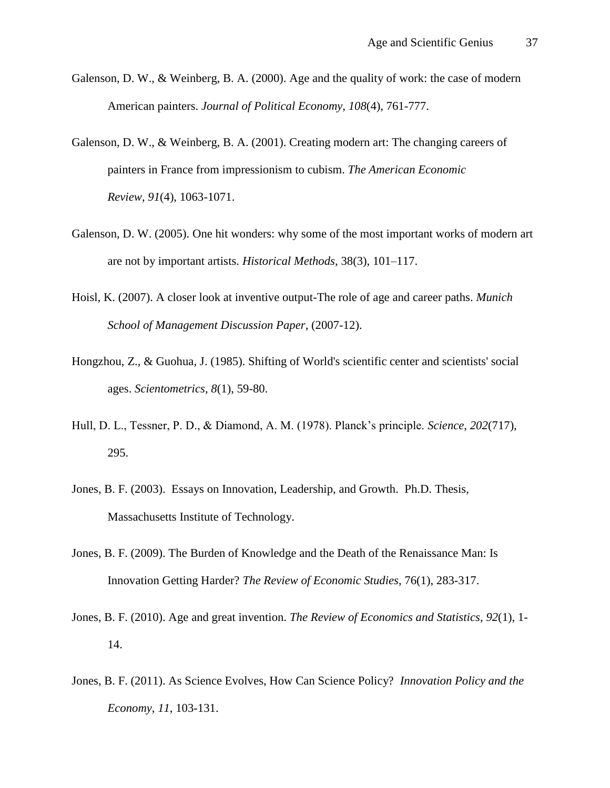- Galenson, D. W., & Weinberg, B. A. (2000). Age and the quality of work: the case of modern American painters. *Journal of Political Economy, 108*(4), 761-777.
- Galenson, D. W., & Weinberg, B. A. (2001). Creating modern art: The changing careers of painters in France from impressionism to cubism. *The American Economic Review*, *91*(4), 1063-1071.
- Galenson, D. W. (2005). One hit wonders: why some of the most important works of modern art are not by important artists. *Historical Methods*, 38(3), 101–117.
- Hoisl, K. (2007). A closer look at inventive output-The role of age and career paths. *Munich School of Management Discussion Paper*, (2007-12).
- Hongzhou, Z., & Guohua, J. (1985). Shifting of World's scientific center and scientists' social ages. *Scientometrics*, *8*(1), 59-80.
- Hull, D. L., Tessner, P. D., & Diamond, A. M. (1978). Planck's principle. *Science*, *202*(717), 295.
- Jones, B. F. (2003). Essays on Innovation, Leadership, and Growth. Ph.D. Thesis, Massachusetts Institute of Technology.
- Jones, B. F. (2009). The Burden of Knowledge and the Death of the Renaissance Man: Is Innovation Getting Harder? *The Review of Economic Studies*, 76(1), 283-317.
- Jones, B. F. (2010). Age and great invention. *The Review of Economics and Statistics*, *92*(1), 1- 14.
- Jones, B. F. (2011). As Science Evolves, How Can Science Policy? *Innovation Policy and the Economy*, *11*, 103-131.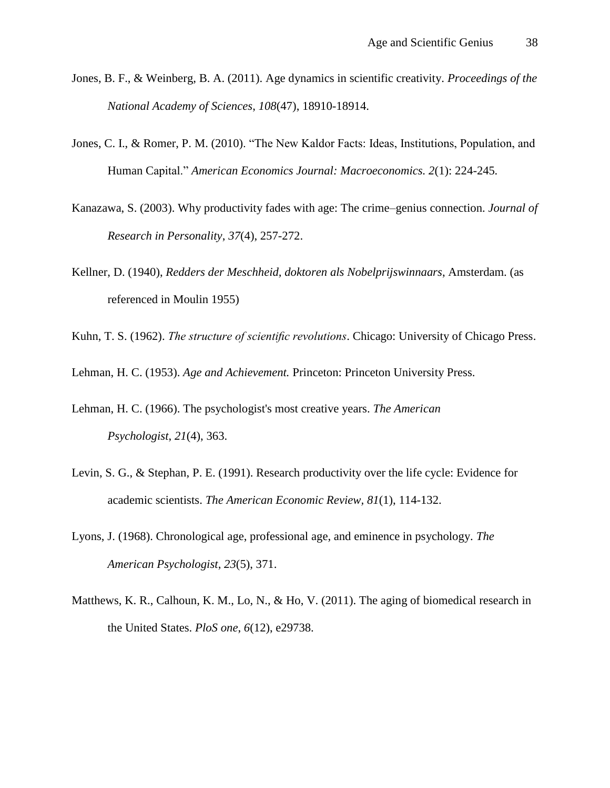- Jones, B. F., & Weinberg, B. A. (2011). Age dynamics in scientific creativity. *Proceedings of the National Academy of Sciences*, *108*(47), 18910-18914.
- Jones, C. I., & Romer, P. M. (2010). "The New Kaldor Facts: Ideas, Institutions, Population, and Human Capital." *American Economics Journal: Macroeconomics. 2*(1): 224-245*.*
- Kanazawa, S. (2003). Why productivity fades with age: The crime–genius connection. *Journal of Research in Personality*, *37*(4), 257-272.
- Kellner, D. (1940), *Redders der Meschheid, doktoren als Nobelprijswinnaars*, Amsterdam. (as referenced in Moulin 1955)
- Kuhn, T. S. (1962). *The structure of scientific revolutions*. Chicago: University of Chicago Press.

Lehman, H. C. (1953). *Age and Achievement.* Princeton: Princeton University Press.

- Lehman, H. C. (1966). The psychologist's most creative years. *The American Psychologist*, *21*(4), 363.
- Levin, S. G., & Stephan, P. E. (1991). Research productivity over the life cycle: Evidence for academic scientists. *The American Economic Review, 81*(1), 114-132.
- Lyons, J. (1968). Chronological age, professional age, and eminence in psychology. *The American Psychologist*, *23*(5), 371.
- Matthews, K. R., Calhoun, K. M., Lo, N., & Ho, V. (2011). The aging of biomedical research in the United States. *PloS one*, *6*(12), e29738.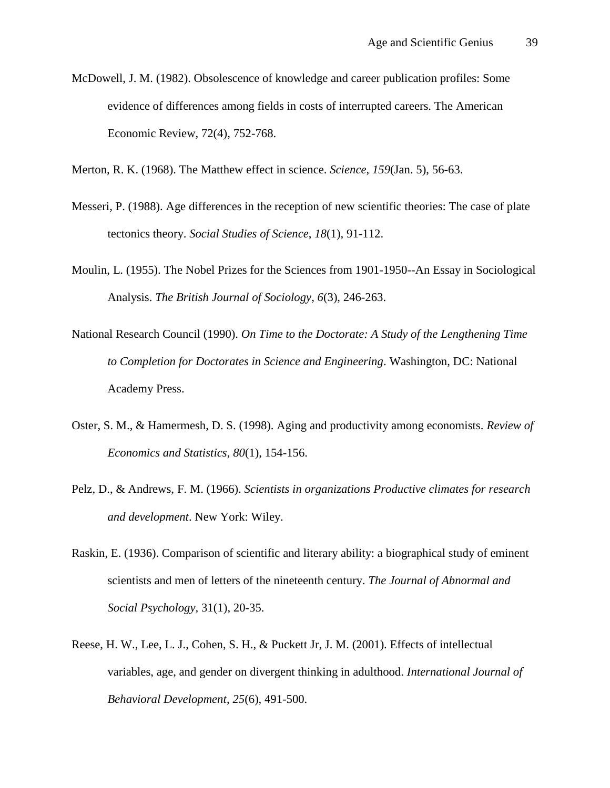McDowell, J. M. (1982). Obsolescence of knowledge and career publication profiles: Some evidence of differences among fields in costs of interrupted careers. The American Economic Review, 72(4), 752-768.

Merton, R. K. (1968). The Matthew effect in science. *Science*, *159*(Jan. 5), 56-63.

- Messeri, P. (1988). Age differences in the reception of new scientific theories: The case of plate tectonics theory. *Social Studies of Science*, *18*(1), 91-112.
- Moulin, L. (1955). The Nobel Prizes for the Sciences from 1901-1950--An Essay in Sociological Analysis. *The British Journal of Sociology*, *6*(3), 246-263.
- National Research Council (1990). *On Time to the Doctorate: A Study of the Lengthening Time to Completion for Doctorates in Science and Engineering*. Washington, DC: National Academy Press.
- Oster, S. M., & Hamermesh, D. S. (1998). Aging and productivity among economists. *Review of Economics and Statistics*, *80*(1), 154-156.
- Pelz, D., & Andrews, F. M. (1966). *Scientists in organizations Productive climates for research and development*. New York: Wiley.
- Raskin, E. (1936). Comparison of scientific and literary ability: a biographical study of eminent scientists and men of letters of the nineteenth century. *The Journal of Abnormal and Social Psychology,* 31(1), 20-35.
- Reese, H. W., Lee, L. J., Cohen, S. H., & Puckett Jr, J. M. (2001). Effects of intellectual variables, age, and gender on divergent thinking in adulthood. *International Journal of Behavioral Development*, *25*(6), 491-500.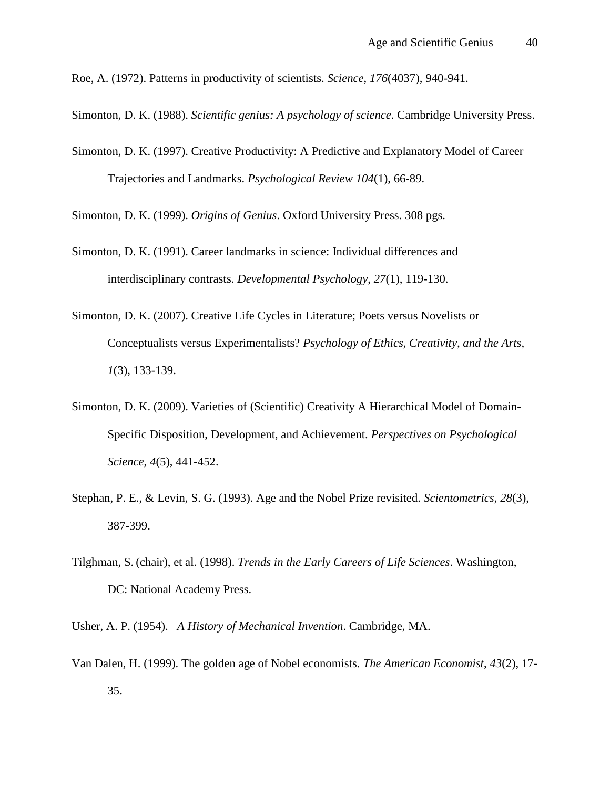Roe, A. (1972). Patterns in productivity of scientists. *Science*, *176*(4037), 940-941.

- Simonton, D. K. (1988). *Scientific genius: A psychology of science*. Cambridge University Press.
- Simonton, D. K. (1997). Creative Productivity: A Predictive and Explanatory Model of Career Trajectories and Landmarks. *Psychological Review 104*(1), 66-89.

Simonton, D. K. (1999). *Origins of Genius*. Oxford University Press. 308 pgs.

- Simonton, D. K. (1991). Career landmarks in science: Individual differences and interdisciplinary contrasts. *Developmental Psychology*, *27*(1), 119-130.
- Simonton, D. K. (2007). Creative Life Cycles in Literature; Poets versus Novelists or Conceptualists versus Experimentalists? *Psychology of Ethics, Creativity, and the Arts, 1*(3), 133-139.
- Simonton, D. K. (2009). Varieties of (Scientific) Creativity A Hierarchical Model of Domain-Specific Disposition, Development, and Achievement. *Perspectives on Psychological Science*, *4*(5), 441-452.
- Stephan, P. E., & Levin, S. G. (1993). Age and the Nobel Prize revisited. *Scientometrics*, *28*(3), 387-399.
- Tilghman, S. (chair), et al. (1998). *Trends in the Early Careers of Life Sciences*. Washington, DC: National Academy Press.
- Usher, A. P. (1954). *A History of Mechanical Invention*. Cambridge, MA.
- Van Dalen, H. (1999). The golden age of Nobel economists. *The American Economist*, *43*(2), 17- 35.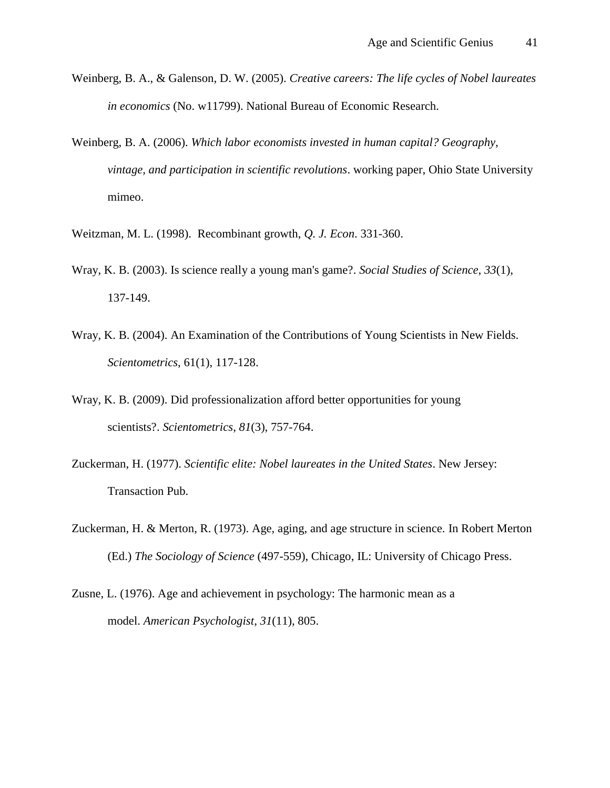- Weinberg, B. A., & Galenson, D. W. (2005). *Creative careers: The life cycles of Nobel laureates in economics* (No. w11799). National Bureau of Economic Research.
- Weinberg, B. A. (2006). *Which labor economists invested in human capital? Geography, vintage, and participation in scientific revolutions*. working paper, Ohio State University mimeo.
- Weitzman, M. L. (1998). Recombinant growth, *Q. J. Econ*. 331-360.
- Wray, K. B. (2003). Is science really a young man's game?. *Social Studies of Science*, *33*(1), 137-149.
- Wray, K. B. (2004). An Examination of the Contributions of Young Scientists in New Fields. *Scientometrics*, 61(1), 117-128.
- Wray, K. B. (2009). Did professionalization afford better opportunities for young scientists?. *Scientometrics*, *81*(3), 757-764.
- Zuckerman, H. (1977). *Scientific elite: Nobel laureates in the United States*. New Jersey: Transaction Pub.
- Zuckerman, H. & Merton, R. (1973). Age, aging, and age structure in science. In Robert Merton (Ed.) *The Sociology of Science* (497-559), Chicago, IL: University of Chicago Press.
- Zusne, L. (1976). Age and achievement in psychology: The harmonic mean as a model. *American Psychologist*, *31*(11), 805.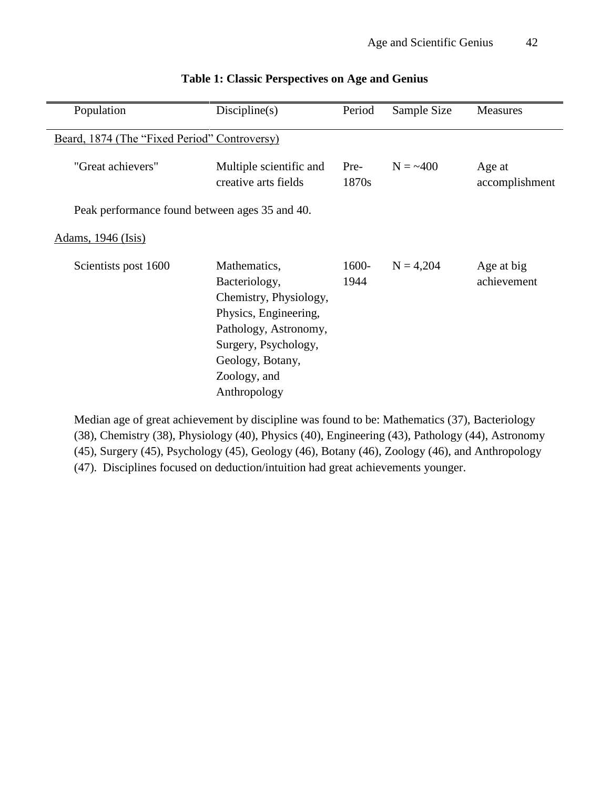| Population                                     | Discpline(s)                                                                                                                                                                          | Period        | Sample Size | <b>Measures</b>           |
|------------------------------------------------|---------------------------------------------------------------------------------------------------------------------------------------------------------------------------------------|---------------|-------------|---------------------------|
| Beard, 1874 (The "Fixed Period" Controversy)   |                                                                                                                                                                                       |               |             |                           |
| "Great achievers"                              | Multiple scientific and<br>creative arts fields                                                                                                                                       | Pre-<br>1870s | $N = -400$  | Age at<br>accomplishment  |
| Peak performance found between ages 35 and 40. |                                                                                                                                                                                       |               |             |                           |
| Adams, 1946 (Isis)                             |                                                                                                                                                                                       |               |             |                           |
| Scientists post 1600                           | Mathematics,<br>Bacteriology,<br>Chemistry, Physiology,<br>Physics, Engineering,<br>Pathology, Astronomy,<br>Surgery, Psychology,<br>Geology, Botany,<br>Zoology, and<br>Anthropology | 1600-<br>1944 | $N = 4,204$ | Age at big<br>achievement |

## **Table 1: Classic Perspectives on Age and Genius**

Median age of great achievement by discipline was found to be: Mathematics (37), Bacteriology (38), Chemistry (38), Physiology (40), Physics (40), Engineering (43), Pathology (44), Astronomy (45), Surgery (45), Psychology (45), Geology (46), Botany (46), Zoology (46), and Anthropology (47). Disciplines focused on deduction/intuition had great achievements younger.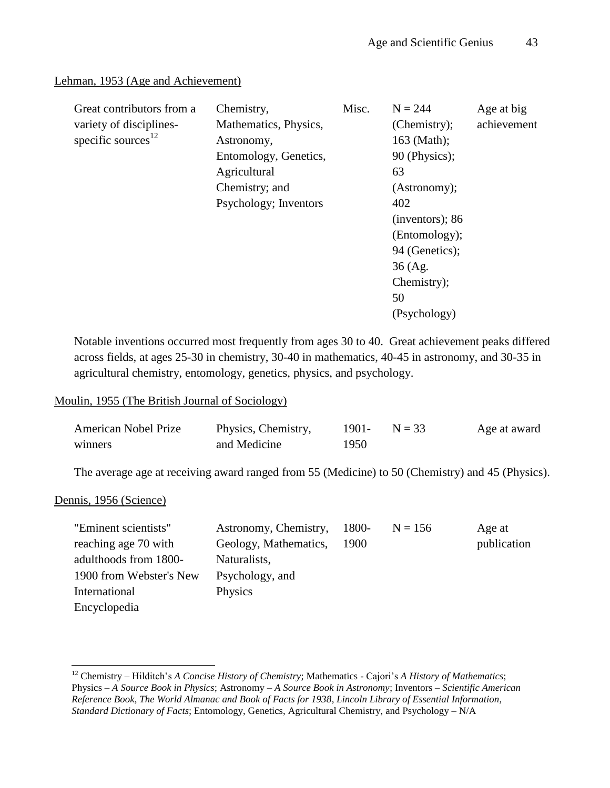| Great contributors from a | Chemistry,            | Misc. | $N = 244$       | Age at big  |
|---------------------------|-----------------------|-------|-----------------|-------------|
| variety of disciplines-   | Mathematics, Physics, |       | (Chemistry);    | achievement |
| specific sources $^{12}$  | Astronomy,            |       | 163 (Math);     |             |
|                           | Entomology, Genetics, |       | 90 (Physics);   |             |
|                           | Agricultural          |       | 63              |             |
|                           | Chemistry; and        |       | (Astronomy);    |             |
|                           | Psychology; Inventors |       | 402             |             |
|                           |                       |       | (inventors); 86 |             |
|                           |                       |       | (Entomology);   |             |
|                           |                       |       | 94 (Genetics);  |             |
|                           |                       |       | 36 (Ag.         |             |
|                           |                       |       | Chemistry);     |             |
|                           |                       |       | 50              |             |
|                           |                       |       | (Psychology)    |             |

#### Lehman, 1953 (Age and Achievement)

Notable inventions occurred most frequently from ages 30 to 40. Great achievement peaks differed across fields, at ages 25-30 in chemistry, 30-40 in mathematics, 40-45 in astronomy, and 30-35 in agricultural chemistry, entomology, genetics, physics, and psychology.

#### Moulin, 1955 (The British Journal of Sociology)

| <b>American Nobel Prize</b> | Physics, Chemistry, | 1901- | $N = 33$ | Age at award |
|-----------------------------|---------------------|-------|----------|--------------|
| winners                     | and Medicine        | 1950  |          |              |

The average age at receiving award ranged from 55 (Medicine) to 50 (Chemistry) and 45 (Physics).

#### Dennis, 1956 (Science)

 $\overline{\phantom{a}}$ 

| "Eminent scientists"    | Astronomy, Chemistry, 1800- |      | $N = 156$ | Age at      |
|-------------------------|-----------------------------|------|-----------|-------------|
| reaching age 70 with    | Geology, Mathematics,       | 1900 |           | publication |
| adulthoods from 1800-   | Naturalists,                |      |           |             |
| 1900 from Webster's New | Psychology, and             |      |           |             |
| International           | Physics                     |      |           |             |
| Encyclopedia            |                             |      |           |             |

<sup>12</sup> Chemistry – Hilditch's *A Concise History of Chemistry*; Mathematics - Cajori's *A History of Mathematics*; Physics – *A Source Book in Physics*; Astronomy – *A Source Book in Astronomy*; Inventors – *Scientific American Reference Book*, *The World Almanac and Book of Facts for 1938*, *Lincoln Library of Essential Information*, *Standard Dictionary of Facts*; Entomology, Genetics, Agricultural Chemistry, and Psychology – N/A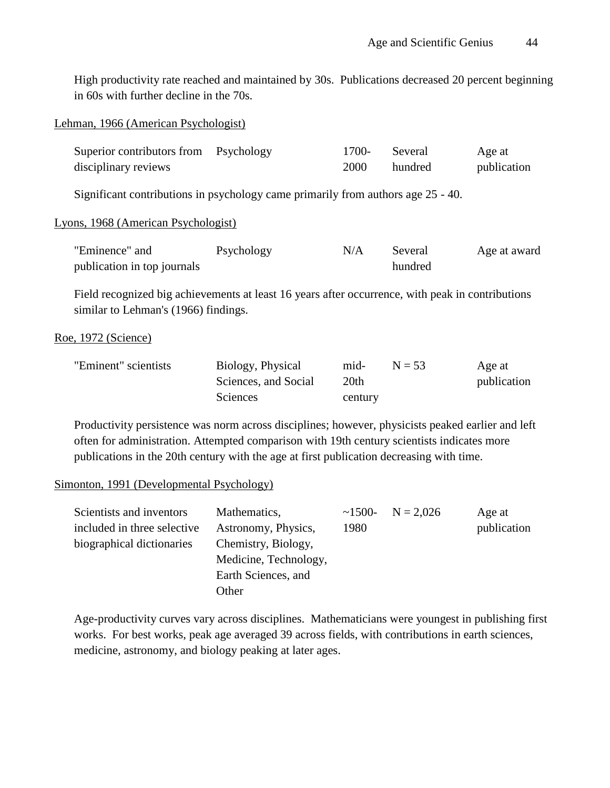publication

High productivity rate reached and maintained by 30s. Publications decreased 20 percent beginning in 60s with further decline in the 70s.

#### Lehman, 1966 (American Psychologist)

| Superior contributors from Psychology<br>disciplinary reviews                                                                            |                   | 1700-<br>2000 | Several<br>hundred | Age at<br>publication |
|------------------------------------------------------------------------------------------------------------------------------------------|-------------------|---------------|--------------------|-----------------------|
| Significant contributions in psychology came primarily from authors age 25 - 40.                                                         |                   |               |                    |                       |
| Lyons, 1968 (American Psychologist)                                                                                                      |                   |               |                    |                       |
| "Eminence" and<br>publication in top journals                                                                                            | Psychology        | N/A           | Several<br>hundred | Age at award          |
| Field recognized big achievements at least 16 years after occurrence, with peak in contributions<br>similar to Lehman's (1966) findings. |                   |               |                    |                       |
| Roe, 1972 (Science)                                                                                                                      |                   |               |                    |                       |
| "Eminent" scientists                                                                                                                     | Biology, Physical | mid-          | $N = 53$           | Age at                |

Productivity persistence was norm across disciplines; however, physicists peaked earlier and left often for administration. Attempted comparison with 19th century scientists indicates more publications in the 20th century with the age at first publication decreasing with time.

20th century

Sciences, and Social

Sciences

#### Simonton, 1991 (Developmental Psychology)

| Scientists and inventors    | Mathematics,          |      | ~1500- $N = 2,026$ | Age at      |
|-----------------------------|-----------------------|------|--------------------|-------------|
| included in three selective | Astronomy, Physics,   | 1980 |                    | publication |
| biographical dictionaries   | Chemistry, Biology,   |      |                    |             |
|                             | Medicine, Technology, |      |                    |             |
|                             | Earth Sciences, and   |      |                    |             |
|                             | Other                 |      |                    |             |

Age-productivity curves vary across disciplines. Mathematicians were youngest in publishing first works. For best works, peak age averaged 39 across fields, with contributions in earth sciences, medicine, astronomy, and biology peaking at later ages.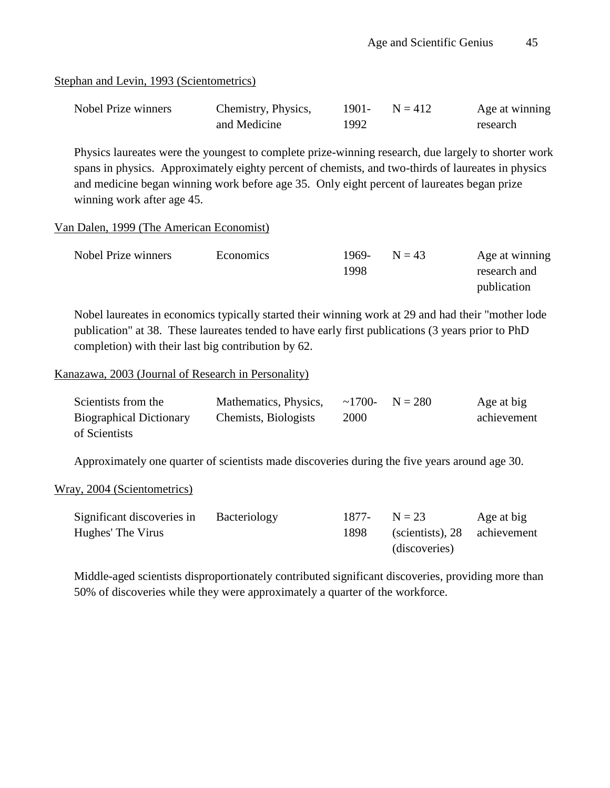### Stephan and Levin, 1993 (Scientometrics)

| Nobel Prize winners | Chemistry, Physics, | 1901- | $N = 412$ | Age at winning |
|---------------------|---------------------|-------|-----------|----------------|
|                     | and Medicine        | 1992  |           | research       |

Physics laureates were the youngest to complete prize-winning research, due largely to shorter work spans in physics. Approximately eighty percent of chemists, and two-thirds of laureates in physics and medicine began winning work before age 35. Only eight percent of laureates began prize winning work after age 45.

## Van Dalen, 1999 (The American Economist)

| Nobel Prize winners | Economics | 1969- | $N = 43$ | Age at winning |
|---------------------|-----------|-------|----------|----------------|
|                     |           | 1998  |          | research and   |
|                     |           |       |          | publication    |

Nobel laureates in economics typically started their winning work at 29 and had their "mother lode publication" at 38. These laureates tended to have early first publications (3 years prior to PhD completion) with their last big contribution by 62.

#### Kanazawa, 2003 (Journal of Research in Personality)

| Scientists from the            | Mathematics, Physics, |      | ~1700- $N = 280$ | Age at big  |
|--------------------------------|-----------------------|------|------------------|-------------|
| <b>Biographical Dictionary</b> | Chemists, Biologists  | 2000 |                  | achievement |
| of Scientists                  |                       |      |                  |             |

Approximately one quarter of scientists made discoveries during the five years around age 30.

#### Wray, 2004 (Scientometrics)

| Significant discoveries in | <b>Bacteriology</b> |      | 1877- $N = 23$               | Age at big |
|----------------------------|---------------------|------|------------------------------|------------|
| Hughes' The Virus          |                     | 1898 | (scientists), 28 achievement |            |
|                            |                     |      | (discoveries)                |            |

Middle-aged scientists disproportionately contributed significant discoveries, providing more than 50% of discoveries while they were approximately a quarter of the workforce.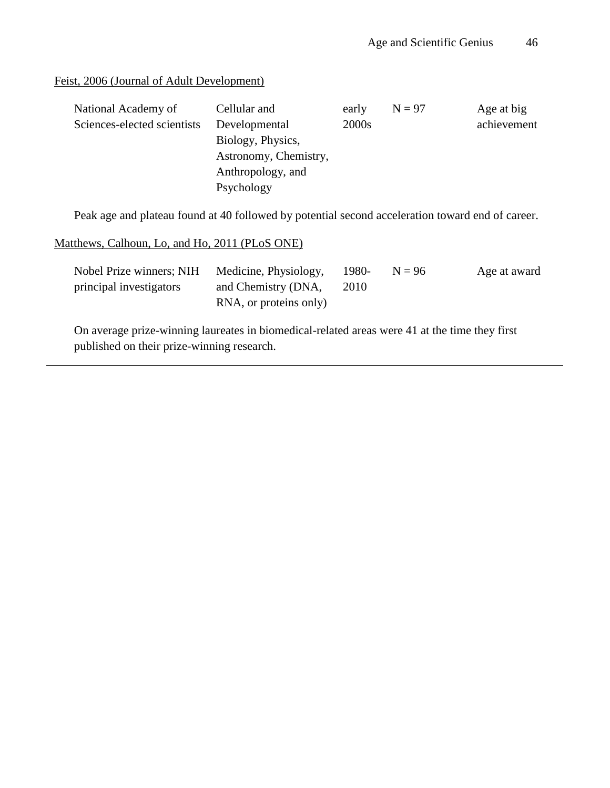## Feist, 2006 (Journal of Adult Development)

| Cellular and          | early | $N = 97$ | Age at big  |
|-----------------------|-------|----------|-------------|
| Developmental         | 2000s |          | achievement |
| Biology, Physics,     |       |          |             |
| Astronomy, Chemistry, |       |          |             |
| Anthropology, and     |       |          |             |
| Psychology            |       |          |             |
|                       |       |          |             |

Peak age and plateau found at 40 followed by potential second acceleration toward end of career.

## Matthews, Calhoun, Lo, and Ho, 2011 (PLoS ONE)

| Nobel Prize winners; NIH | Medicine, Physiology,  | 1980- | $N = 96$ | Age at award |
|--------------------------|------------------------|-------|----------|--------------|
| principal investigators  | and Chemistry (DNA,    | 2010  |          |              |
|                          | RNA, or proteins only) |       |          |              |

On average prize-winning laureates in biomedical-related areas were 41 at the time they first published on their prize-winning research.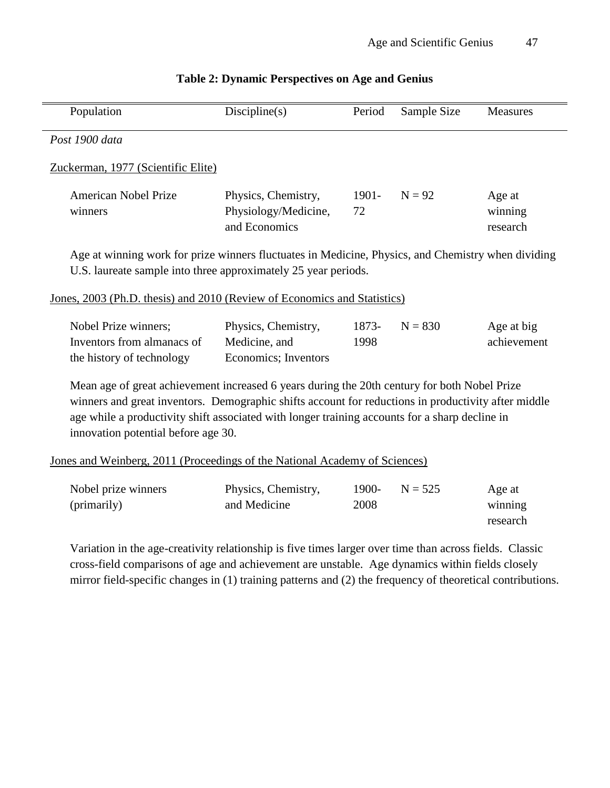| Population                                                                                                                                                                                                                                                                                                                                                                                                                 | Discpline(s)                                                 | Period        | Sample Size | Measures                      |
|----------------------------------------------------------------------------------------------------------------------------------------------------------------------------------------------------------------------------------------------------------------------------------------------------------------------------------------------------------------------------------------------------------------------------|--------------------------------------------------------------|---------------|-------------|-------------------------------|
| Post 1900 data                                                                                                                                                                                                                                                                                                                                                                                                             |                                                              |               |             |                               |
| Zuckerman, 1977 (Scientific Elite)                                                                                                                                                                                                                                                                                                                                                                                         |                                                              |               |             |                               |
| <b>American Nobel Prize</b><br>winners                                                                                                                                                                                                                                                                                                                                                                                     | Physics, Chemistry,<br>Physiology/Medicine,<br>and Economics | 1901-<br>72   | $N = 92$    | Age at<br>winning<br>research |
| Age at winning work for prize winners fluctuates in Medicine, Physics, and Chemistry when dividing<br>U.S. laureate sample into three approximately 25 year periods.                                                                                                                                                                                                                                                       |                                                              |               |             |                               |
| Jones, 2003 (Ph.D. thesis) and 2010 (Review of Economics and Statistics)                                                                                                                                                                                                                                                                                                                                                   |                                                              |               |             |                               |
| Nobel Prize winners;<br>Inventors from almanacs of<br>the history of technology                                                                                                                                                                                                                                                                                                                                            | Physics, Chemistry,<br>Medicine, and<br>Economics; Inventors | 1873-<br>1998 | $N = 830$   | Age at big<br>achievement     |
| Mean age of great achievement increased 6 years during the 20th century for both Nobel Prize<br>winners and great inventors. Demographic shifts account for reductions in productivity after middle<br>age while a productivity shift associated with longer training accounts for a sharp decline in<br>innovation potential before age 30.<br>Jones and Weinberg, 2011 (Proceedings of the National Academy of Sciences) |                                                              |               |             |                               |
| Nobel prize winners<br>(primarily)                                                                                                                                                                                                                                                                                                                                                                                         | Physics, Chemistry,<br>and Medicine                          | 1900-<br>2008 | $N = 525$   | Age at<br>winning<br>research |
| Variation in the age-creativity relationship is five times larger over time than across fields. Classic<br>cross-field comparisons of age and achievement are unstable. Age dynamics within fields closely<br>mirror field-specific changes in (1) training patterns and (2) the frequency of theoretical contributions.                                                                                                   |                                                              |               |             |                               |
|                                                                                                                                                                                                                                                                                                                                                                                                                            |                                                              |               |             |                               |
|                                                                                                                                                                                                                                                                                                                                                                                                                            |                                                              |               |             |                               |
|                                                                                                                                                                                                                                                                                                                                                                                                                            |                                                              |               |             |                               |

# **Table 2: Dynamic Perspectives on Age and Genius**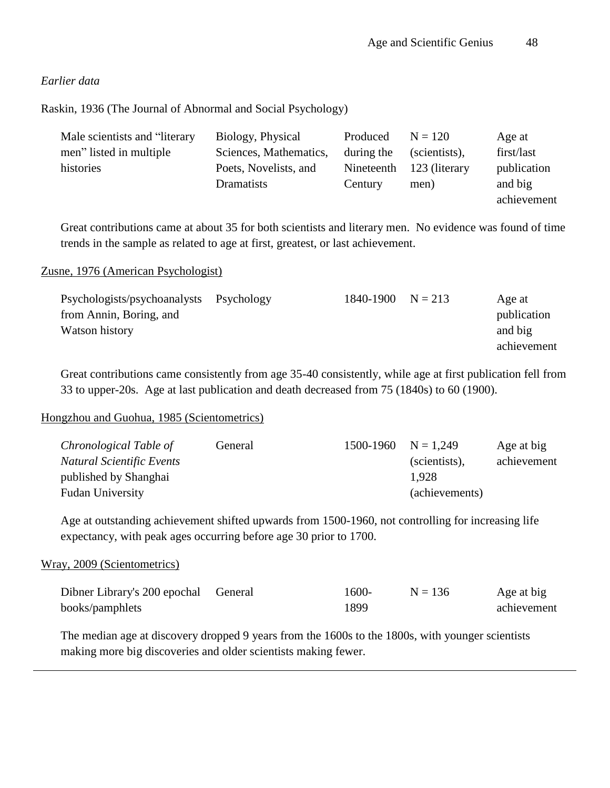## *Earlier data*

Raskin, 1936 (The Journal of Abnormal and Social Psychology)

| Male scientists and "literary" | Biology, Physical      | Produced   | $N = 120$     | Age at      |
|--------------------------------|------------------------|------------|---------------|-------------|
| men" listed in multiple        | Sciences, Mathematics, | during the | (scientists), | first/last  |
| histories                      | Poets, Novelists, and  | Nineteenth | 123 (literary | publication |
|                                | Dramatists             | Century    | men)          | and big     |
|                                |                        |            |               | achievement |

Great contributions came at about 35 for both scientists and literary men. No evidence was found of time trends in the sample as related to age at first, greatest, or last achievement.

#### Zusne, 1976 (American Psychologist)

| Psychologists/psychoanalysts Psychology | 1840-1900 | $N = 213$ | Age at      |
|-----------------------------------------|-----------|-----------|-------------|
| from Annin, Boring, and                 |           |           | publication |
| Watson history                          |           |           | and big     |
|                                         |           |           | achievement |

Great contributions came consistently from age 35-40 consistently, while age at first publication fell from 33 to upper-20s. Age at last publication and death decreased from 75 (1840s) to 60 (1900).

#### Hongzhou and Guohua, 1985 (Scientometrics)

| Chronological Table of    | General | 1500-1960 | $N = 1.249$    | Age at big  |
|---------------------------|---------|-----------|----------------|-------------|
| Natural Scientific Events |         |           | (scientists),  | achievement |
| published by Shanghai     |         |           | 1.928          |             |
| <b>Fudan University</b>   |         |           | (achievements) |             |

Age at outstanding achievement shifted upwards from 1500-1960, not controlling for increasing life expectancy, with peak ages occurring before age 30 prior to 1700.

#### Wray, 2009 (Scientometrics)

| Dibner Library's 200 epochal General | 1600- | $N = 136$ | Age at big  |
|--------------------------------------|-------|-----------|-------------|
| books/pamphlets                      | 1899  |           | achievement |

The median age at discovery dropped 9 years from the 1600s to the 1800s, with younger scientists making more big discoveries and older scientists making fewer.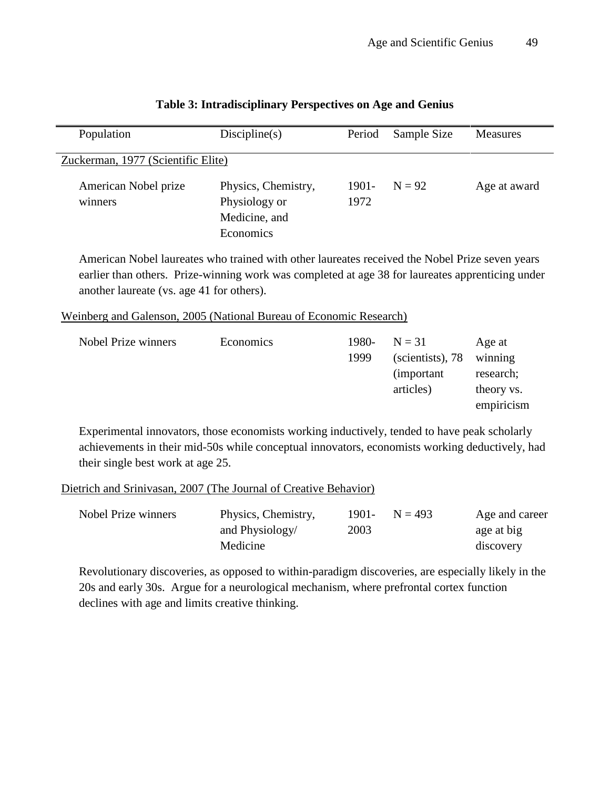| Population                                                                                                                                                                                                                                      | Discipher(s)                                                       | Period           | Sample Size                                                     | <b>Measures</b>                                            |  |
|-------------------------------------------------------------------------------------------------------------------------------------------------------------------------------------------------------------------------------------------------|--------------------------------------------------------------------|------------------|-----------------------------------------------------------------|------------------------------------------------------------|--|
| Zuckerman, 1977 (Scientific Elite)                                                                                                                                                                                                              |                                                                    |                  |                                                                 |                                                            |  |
| American Nobel prize<br>winners                                                                                                                                                                                                                 | Physics, Chemistry,<br>Physiology or<br>Medicine, and<br>Economics | $1901 -$<br>1972 | $N = 92$                                                        | Age at award                                               |  |
| American Nobel laureates who trained with other laureates received the Nobel Prize seven years<br>earlier than others. Prize-winning work was completed at age 38 for laureates apprenticing under<br>another laureate (vs. age 41 for others). |                                                                    |                  |                                                                 |                                                            |  |
| Weinberg and Galenson, 2005 (National Bureau of Economic Research)                                                                                                                                                                              |                                                                    |                  |                                                                 |                                                            |  |
| Nobel Prize winners                                                                                                                                                                                                                             | Economics                                                          | 1980-<br>1999    | $N = 31$<br>(scientists), 78<br><i>(important)</i><br>articles) | Age at<br>winning<br>research;<br>theory vs.<br>empiricism |  |
| Experimental innovators, those economists working inductively, tended to have peak scholarly<br>achievements in their mid-50s while conceptual innovators, economists working deductively, had<br>their single best work at age 25.             |                                                                    |                  |                                                                 |                                                            |  |
| Dietrich and Srinivasan, 2007 (The Journal of Creative Behavior)                                                                                                                                                                                |                                                                    |                  |                                                                 |                                                            |  |
| Nobel Prize winners                                                                                                                                                                                                                             | Physics, Chemistry,<br>and Physiology/<br>Medicine                 | $1901 -$<br>2003 | $N = 493$                                                       | Age and career<br>age at big<br>discovery                  |  |

## **Table 3: Intradisciplinary Perspectives on Age and Genius**

Revolutionary discoveries, as opposed to within-paradigm discoveries, are especially likely in the 20s and early 30s. Argue for a neurological mechanism, where prefrontal cortex function declines with age and limits creative thinking.